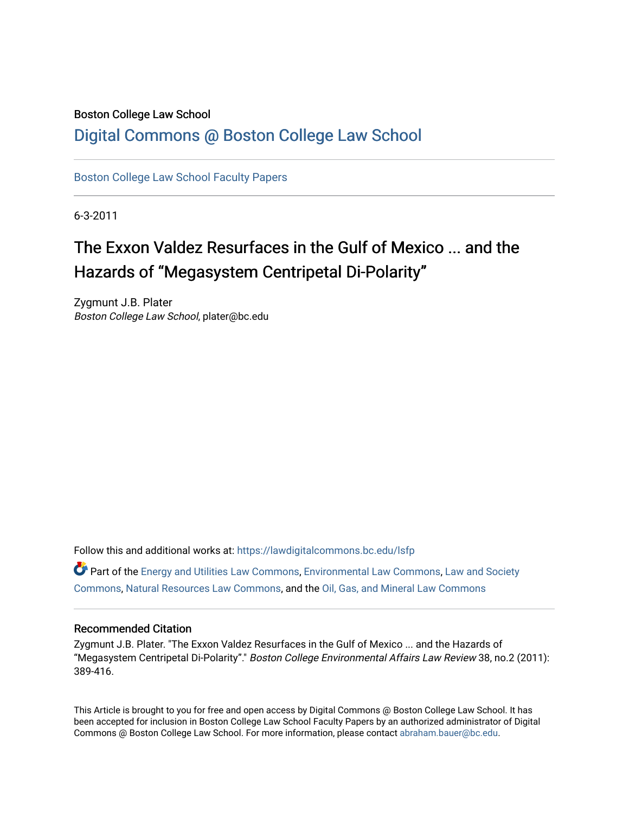# Boston College Law School

# [Digital Commons @ Boston College Law School](https://lawdigitalcommons.bc.edu/)

[Boston College Law School Faculty Papers](https://lawdigitalcommons.bc.edu/lsfp) 

6-3-2011

# The Exxon Valdez Resurfaces in the Gulf of Mexico ... and the Hazards of "Megasystem Centripetal Di-Polarity"

Zygmunt J.B. Plater Boston College Law School, plater@bc.edu

Follow this and additional works at: [https://lawdigitalcommons.bc.edu/lsfp](https://lawdigitalcommons.bc.edu/lsfp?utm_source=lawdigitalcommons.bc.edu%2Flsfp%2F350&utm_medium=PDF&utm_campaign=PDFCoverPages) 

 $\bullet$  Part of the [Energy and Utilities Law Commons,](http://network.bepress.com/hgg/discipline/891?utm_source=lawdigitalcommons.bc.edu%2Flsfp%2F350&utm_medium=PDF&utm_campaign=PDFCoverPages) [Environmental Law Commons](http://network.bepress.com/hgg/discipline/599?utm_source=lawdigitalcommons.bc.edu%2Flsfp%2F350&utm_medium=PDF&utm_campaign=PDFCoverPages), Law and Society [Commons](http://network.bepress.com/hgg/discipline/853?utm_source=lawdigitalcommons.bc.edu%2Flsfp%2F350&utm_medium=PDF&utm_campaign=PDFCoverPages), [Natural Resources Law Commons,](http://network.bepress.com/hgg/discipline/863?utm_source=lawdigitalcommons.bc.edu%2Flsfp%2F350&utm_medium=PDF&utm_campaign=PDFCoverPages) and the [Oil, Gas, and Mineral Law Commons](http://network.bepress.com/hgg/discipline/864?utm_source=lawdigitalcommons.bc.edu%2Flsfp%2F350&utm_medium=PDF&utm_campaign=PDFCoverPages)

## Recommended Citation

Zygmunt J.B. Plater. "The Exxon Valdez Resurfaces in the Gulf of Mexico ... and the Hazards of "Megasystem Centripetal Di-Polarity"." Boston College Environmental Affairs Law Review 38, no.2 (2011): 389-416.

This Article is brought to you for free and open access by Digital Commons @ Boston College Law School. It has been accepted for inclusion in Boston College Law School Faculty Papers by an authorized administrator of Digital Commons @ Boston College Law School. For more information, please contact [abraham.bauer@bc.edu.](mailto:abraham.bauer@bc.edu)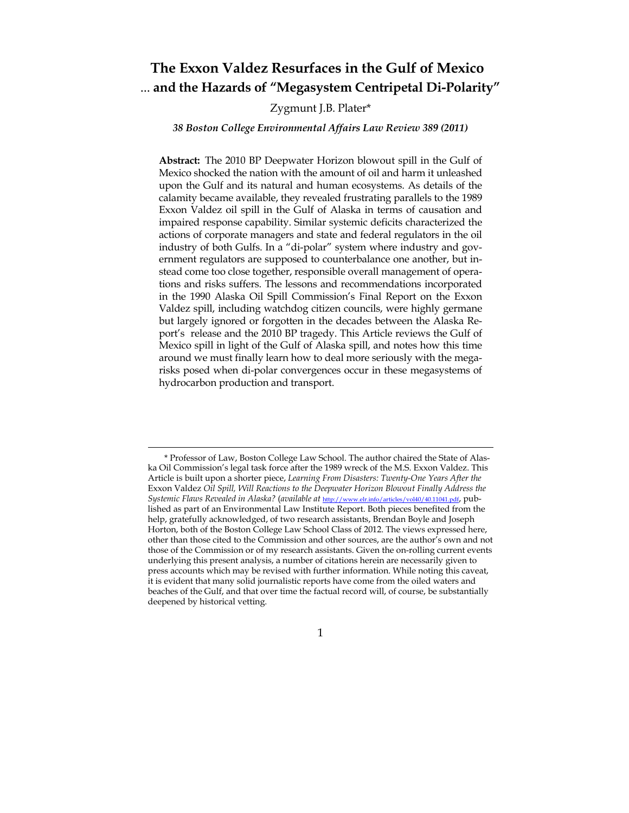# **The Exxon Valdez Resurfaces in the Gulf of Mexico**  ... **and the Hazards of "Megasystem Centripetal Di-Polarity"**

### Zygmunt J.B. Plater\*

#### *38 Boston College Environmental Affairs Law Review 389 (2011)*

**Abstract:** The 2010 BP Deepwater Horizon blowout spill in the Gulf of Mexico shocked the nation with the amount of oil and harm it unleashed upon the Gulf and its natural and human ecosystems. As details of the calamity became available, they revealed frustrating parallels to the 1989 Exxon Valdez oil spill in the Gulf of Alaska in terms of causation and impaired response capability. Similar systemic deficits characterized the actions of corporate managers and state and federal regulators in the oil industry of both Gulfs. In a "di-polar" system where industry and government regulators are supposed to counterbalance one another, but instead come too close together, responsible overall management of operations and risks suffers. The lessons and recommendations incorporated in the 1990 Alaska Oil Spill Commission's Final Report on the Exxon Valdez spill, including watchdog citizen councils, were highly germane but largely ignored or forgotten in the decades between the Alaska Report's release and the 2010 BP tragedy. This Article reviews the Gulf of Mexico spill in light of the Gulf of Alaska spill, and notes how this time around we must finally learn how to deal more seriously with the megarisks posed when di-polar convergences occur in these megasystems of hydrocarbon production and transport.

#### 1

 <sup>\*</sup> Professor of Law, Boston College Law School. The author chaired the State of Alaska Oil Commission's legal task force after the 1989 wreck of the M.S. Exxon Valdez. This Article is built upon a shorter piece, *Learning From Disasters: Twenty-One Years After the* Exxon Valdez *Oil Spill, Will Reactions to the Deepwater Horizon Blowout Finally Address the Systemic Flaws Revealed in Alaska?* (*available at* http://www.elr.info/articles/vol40/40.11041.pdf, published as part of an Environmental Law Institute Report. Both pieces benefited from the help, gratefully acknowledged, of two research assistants, Brendan Boyle and Joseph Horton, both of the Boston College Law School Class of 2012. The views expressed here, other than those cited to the Commission and other sources, are the author's own and not those of the Commission or of my research assistants. Given the on-rolling current events underlying this present analysis, a number of citations herein are necessarily given to press accounts which may be revised with further information. While noting this caveat, it is evident that many solid journalistic reports have come from the oiled waters and beaches of the Gulf, and that over time the factual record will, of course, be substantially deepened by historical vetting.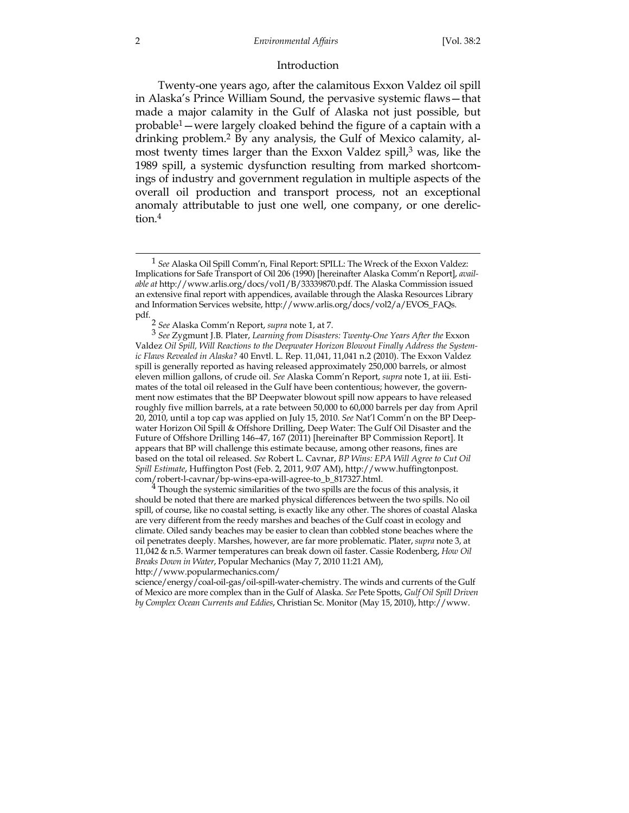#### Introduction

 Twenty-one years ago, after the calamitous Exxon Valdez oil spill in Alaska's Prince William Sound, the pervasive systemic flaws—that made a major calamity in the Gulf of Alaska not just possible, but probable1—were largely cloaked behind the figure of a captain with a drinking problem.2 By any analysis, the Gulf of Mexico calamity, almost twenty times larger than the Exxon Valdez spill, $3$  was, like the 1989 spill, a systemic dysfunction resulting from marked shortcomings of industry and government regulation in multiple aspects of the overall oil production and transport process, not an exceptional anomaly attributable to just one well, one company, or one dereliction.4

should be noted that there are marked physical differences between the two spills. No oil spill, of course, like no coastal setting, is exactly like any other. The shores of coastal Alaska are very different from the reedy marshes and beaches of the Gulf coast in ecology and climate. Oiled sandy beaches may be easier to clean than cobbled stone beaches where the oil penetrates deeply. Marshes, however, are far more problematic. Plater, *supra* note 3, at 11,042 & n.5. Warmer temperatures can break down oil faster. Cassie Rodenberg, *How Oil Breaks Down in Water*, Popular Mechanics (May 7, 2010 11:21 AM),

 <sup>1</sup> *See* Alaska Oil Spill Comm'n, Final Report: SPILL: The Wreck of the Exxon Valdez: Implications for Safe Transport of Oil 206 (1990) [hereinafter Alaska Comm'n Report], *available at* http://www.arlis.org/docs/vol1/B/33339870.pdf. The Alaska Commission issued an extensive final report with appendices, available through the Alaska Resources Library and Information Services website, http://www.arlis.org/docs/vol2/a/EVOS\_FAQs.

pdf. 2 *See* Alaska Comm'n Report, *supra* note 1, at 7.

<sup>3</sup> *See* Zygmunt J.B. Plater, *Learning from Disasters: Twenty-One Years After the* Exxon Valdez *Oil Spill, Will Reactions to the Deepwater Horizon Blowout Finally Address the Systemic Flaws Revealed in Alaska?* 40 Envtl. L. Rep. 11,041, 11,041 n.2 (2010). The Exxon Valdez spill is generally reported as having released approximately 250,000 barrels, or almost eleven million gallons, of crude oil. *See* Alaska Comm'n Report, *supra* note 1, at iii. Estimates of the total oil released in the Gulf have been contentious; however, the government now estimates that the BP Deepwater blowout spill now appears to have released roughly five million barrels, at a rate between 50,000 to 60,000 barrels per day from April 20, 2010, until a top cap was applied on July 15, 2010. *See* Nat'l Comm'n on the BP Deepwater Horizon Oil Spill & Offshore Drilling, Deep Water: The Gulf Oil Disaster and the Future of Offshore Drilling 146–47, 167 (2011) [hereinafter BP Commission Report]. It appears that BP will challenge this estimate because, among other reasons, fines are based on the total oil released. *See* Robert L. Cavnar, *BP Wins: EPA Will Agree to Cut Oil Spill Estimate*, Huffington Post (Feb. 2, 2011, 9:07 AM), http://www.huffingtonpost. com/robert-l-cavnar/bp-wins-epa-will-agree-to\_b\_817327.html. 4 Though the systemic similarities of the two spills are the focus of this analysis, it

http://www.popularmechanics.com/

science/energy/coal-oil-gas/oil-spill-water-chemistry. The winds and currents of the Gulf of Mexico are more complex than in the Gulf of Alaska. *See* Pete Spotts, *Gulf Oil Spill Driven by Complex Ocean Currents and Eddies*, Christian Sc. Monitor (May 15, 2010), http://www.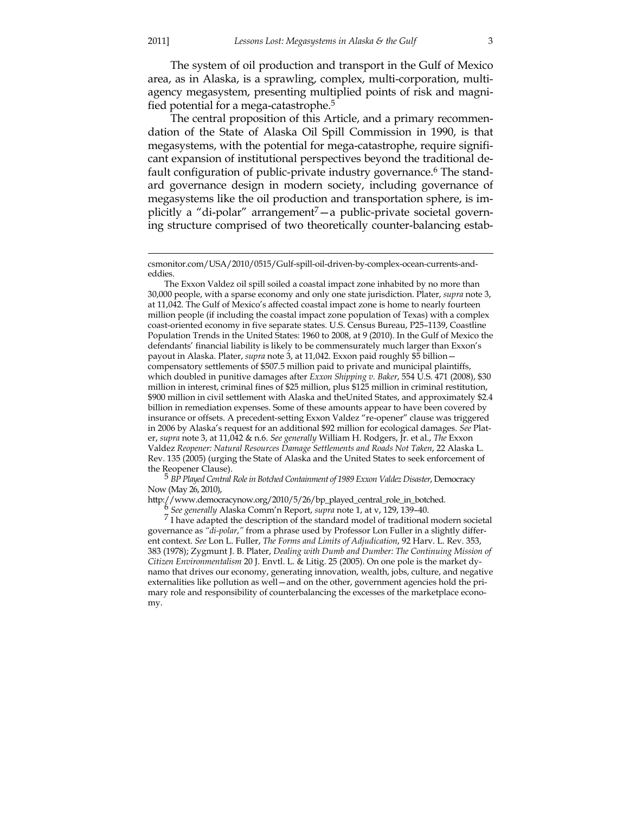The system of oil production and transport in the Gulf of Mexico area, as in Alaska, is a sprawling, complex, multi-corporation, multiagency megasystem, presenting multiplied points of risk and magnified potential for a mega-catastrophe.<sup>5</sup>

 The central proposition of this Article, and a primary recommendation of the State of Alaska Oil Spill Commission in 1990, is that megasystems, with the potential for mega-catastrophe, require significant expansion of institutional perspectives beyond the traditional default configuration of public-private industry governance.6 The standard governance design in modern society, including governance of megasystems like the oil production and transportation sphere, is implicitly a "di-polar" arrangement<sup>7</sup> — a public-private societal governing structure comprised of two theoretically counter-balancing estab-

The Exxon Valdez oil spill soiled a coastal impact zone inhabited by no more than 30,000 people, with a sparse economy and only one state jurisdiction. Plater, *supra* note 3, at 11,042. The Gulf of Mexico's affected coastal impact zone is home to nearly fourteen million people (if including the coastal impact zone population of Texas) with a complex coast-oriented economy in five separate states. U.S. Census Bureau, P25–1139, Coastline Population Trends in the United States: 1960 to 2008, at 9 (2010). In the Gulf of Mexico the defendants' financial liability is likely to be commensurately much larger than Exxon's payout in Alaska. Plater, *supra* note 3, at 11,042. Exxon paid roughly \$5 billion compensatory settlements of \$507.5 million paid to private and municipal plaintiffs, which doubled in punitive damages after *Exxon Shipping v. Baker*, 554 U.S. 471 (2008), \$30 million in interest, criminal fines of \$25 million, plus \$125 million in criminal restitution, \$900 million in civil settlement with Alaska and theUnited States, and approximately \$2.4 billion in remediation expenses. Some of these amounts appear to have been covered by insurance or offsets. A precedent-setting Exxon Valdez "re-opener" clause was triggered in 2006 by Alaska's request for an additional \$92 million for ecological damages. *See* Plater, *supra* note 3, at 11,042 & n.6. *See generally* William H. Rodgers, Jr. et al., *The* Exxon Valdez *Reopener: Natural Resources Damage Settlements and Roads Not Taken*, 22 Alaska L. Rev. 135 (2005) (urging the State of Alaska and the United States to seek enforcement of

<sup>5</sup> *BP Played Central Role in Botched Containment of 1989 Exxon Valdez Disaster*, Democracy Now (May 26, 2010),

http://www.democracynow.org/2010/5/26/bp\_played\_central\_role\_in\_botched. 6 *See generally* Alaska Comm'n Report, *supra* note 1, at v, 129, 139–40.

 $<sup>7</sup>$  I have adapted the description of the standard model of traditional modern societal</sup> governance as *"di-polar*,*"* from a phrase used by Professor Lon Fuller in a slightly different context. *See* Lon L. Fuller, *The Forms and Limits of Adjudication*, 92 Harv. L. Rev. 353, 383 (1978); Zygmunt J. B. Plater, *Dealing with Dumb and Dumber: The Continuing Mission of Citizen Environmentalism* 20 J. Envtl. L. & Litig. 25 (2005). On one pole is the market dynamo that drives our economy, generating innovation, wealth, jobs, culture, and negative externalities like pollution as well—and on the other, government agencies hold the primary role and responsibility of counterbalancing the excesses of the marketplace economy.

csmonitor.com/USA/2010/0515/Gulf-spill-oil-driven-by-complex-ocean-currents-andeddies.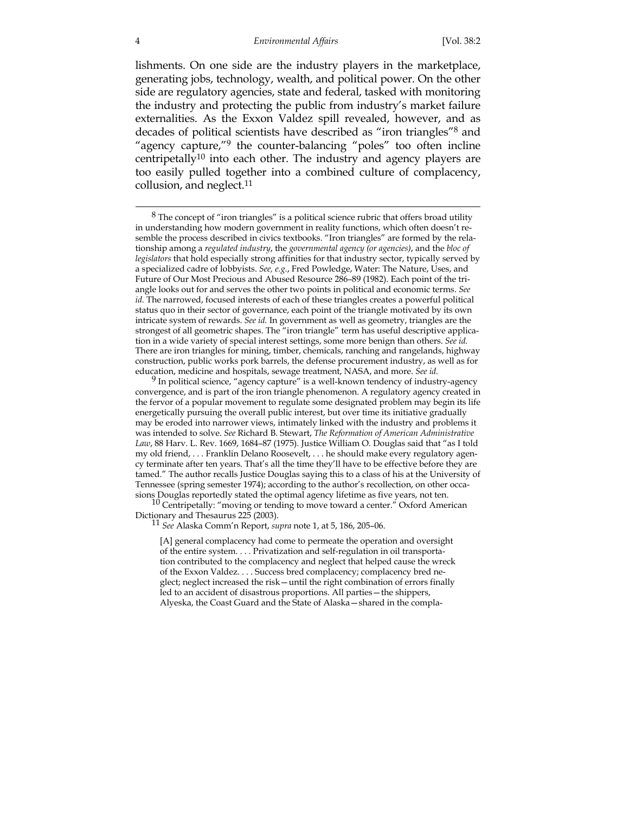lishments. On one side are the industry players in the marketplace, generating jobs, technology, wealth, and political power. On the other side are regulatory agencies, state and federal, tasked with monitoring the industry and protecting the public from industry's market failure externalities. As the Exxon Valdez spill revealed, however, and as decades of political scientists have described as "iron triangles"8 and "agency capture,"9 the counter-balancing "poles" too often incline centripetally<sup>10</sup> into each other. The industry and agency players are too easily pulled together into a combined culture of complacency, collusion, and neglect.<sup>11</sup>

9 In political science, "agency capture" is a well-known tendency of industry-agency convergence, and is part of the iron triangle phenomenon. A regulatory agency created in the fervor of a popular movement to regulate some designated problem may begin its life energetically pursuing the overall public interest, but over time its initiative gradually may be eroded into narrower views, intimately linked with the industry and problems it was intended to solve. *See* Richard B. Stewart, *The Reformation of American Administrative Law*, 88 Harv. L. Rev. 1669, 1684–87 (1975). Justice William O. Douglas said that "as I told my old friend, . . . Franklin Delano Roosevelt, . . . he should make every regulatory agency terminate after ten years. That's all the time they'll have to be effective before they are tamed." The author recalls Justice Douglas saying this to a class of his at the University of Tennessee (spring semester 1974); according to the author's recollection, on other occa-

sions Douglas reportedly stated the optimal agency lifetime as five years, not ten. <sup>10</sup> Centripetally: "moving or tending to move toward a center." Oxford American Dictionary and Thesaurus 225 (2003). 11 *See* Alaska Comm'n Report, *supra* note 1, at 5, 186, 205–06.

[A] general complacency had come to permeate the operation and oversight of the entire system. . . . Privatization and self-regulation in oil transportation contributed to the complacency and neglect that helped cause the wreck of the Exxon Valdez. . . . Success bred complacency; complacency bred neglect; neglect increased the risk—until the right combination of errors finally led to an accident of disastrous proportions. All parties—the shippers, Alyeska, the Coast Guard and the State of Alaska—shared in the compla-

 $8$  The concept of "iron triangles" is a political science rubric that offers broad utility in understanding how modern government in reality functions, which often doesn't resemble the process described in civics textbooks. "Iron triangles" are formed by the relationship among a *regulated industry*, the *governmental agency (or agencies)*, and the *bloc of legislators* that hold especially strong affinities for that industry sector, typically served by a specialized cadre of lobbyists. *See, e.g.*, Fred Powledge, Water: The Nature, Uses, and Future of Our Most Precious and Abused Resource 286–89 (1982). Each point of the triangle looks out for and serves the other two points in political and economic terms. *See id.* The narrowed, focused interests of each of these triangles creates a powerful political status quo in their sector of governance, each point of the triangle motivated by its own intricate system of rewards. *See id.* In government as well as geometry, triangles are the strongest of all geometric shapes. The "iron triangle" term has useful descriptive application in a wide variety of special interest settings, some more benign than others. *See id.* There are iron triangles for mining, timber, chemicals, ranching and rangelands, highway construction, public works pork barrels, the defense procurement industry, as well as for education, medicine and hospitals, sewage treatment, NASA, and more. *See id.*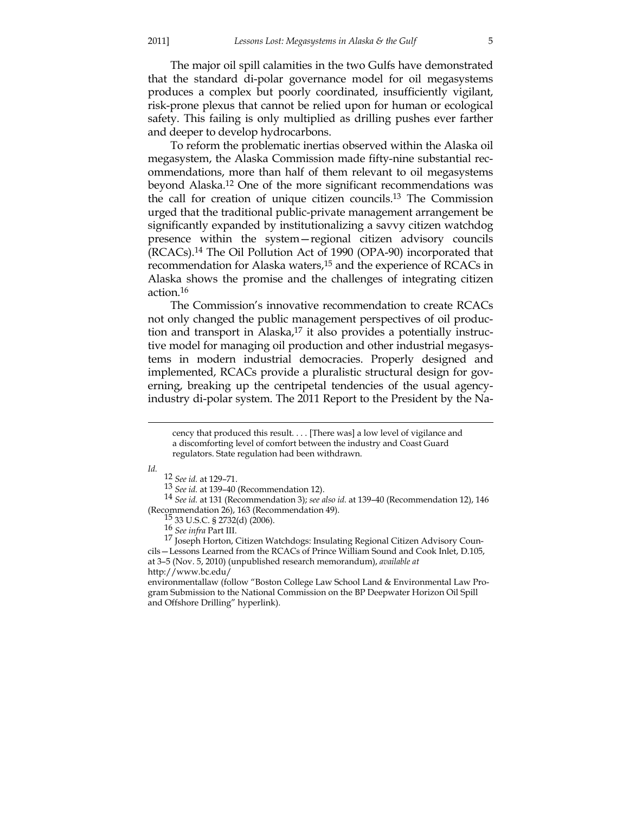The major oil spill calamities in the two Gulfs have demonstrated that the standard di-polar governance model for oil megasystems produces a complex but poorly coordinated, insufficiently vigilant, risk-prone plexus that cannot be relied upon for human or ecological safety. This failing is only multiplied as drilling pushes ever farther and deeper to develop hydrocarbons.

 To reform the problematic inertias observed within the Alaska oil megasystem, the Alaska Commission made fifty-nine substantial recommendations, more than half of them relevant to oil megasystems beyond Alaska.12 One of the more significant recommendations was the call for creation of unique citizen councils.13 The Commission urged that the traditional public-private management arrangement be significantly expanded by institutionalizing a savvy citizen watchdog presence within the system—regional citizen advisory councils (RCACs).14 The Oil Pollution Act of 1990 (OPA-90) incorporated that recommendation for Alaska waters,<sup>15</sup> and the experience of RCACs in Alaska shows the promise and the challenges of integrating citizen action.16

 The Commission's innovative recommendation to create RCACs not only changed the public management perspectives of oil production and transport in Alaska, $17$  it also provides a potentially instructive model for managing oil production and other industrial megasystems in modern industrial democracies. Properly designed and implemented, RCACs provide a pluralistic structural design for governing, breaking up the centripetal tendencies of the usual agencyindustry di-polar system. The 2011 Report to the President by the Na-

*Id.*

12 *See id.* at 129–71.

<sup>13</sup> *See id.* at 139–40 (Recommendation 12). 14 *See id.* at 131 (Recommendation 3); *see also id.* at 139–40 (Recommendation 12), 146 (Recommendation 26), 163 (Recommendation 49). 15 33 U.S.C. § 2732(d) (2006). 16 *See infra* Part III.

environmentallaw (follow "Boston College Law School Land & Environmental Law Program Submission to the National Commission on the BP Deepwater Horizon Oil Spill and Offshore Drilling" hyperlink).

cency that produced this result. . . . [There was] a low level of vigilance and a discomforting level of comfort between the industry and Coast Guard regulators. State regulation had been withdrawn.

<sup>17</sup> Joseph Horton, Citizen Watchdogs: Insulating Regional Citizen Advisory Councils—Lessons Learned from the RCACs of Prince William Sound and Cook Inlet, D.105, at 3–5 (Nov. 5, 2010) (unpublished research memorandum), *available at* http://www.bc.edu/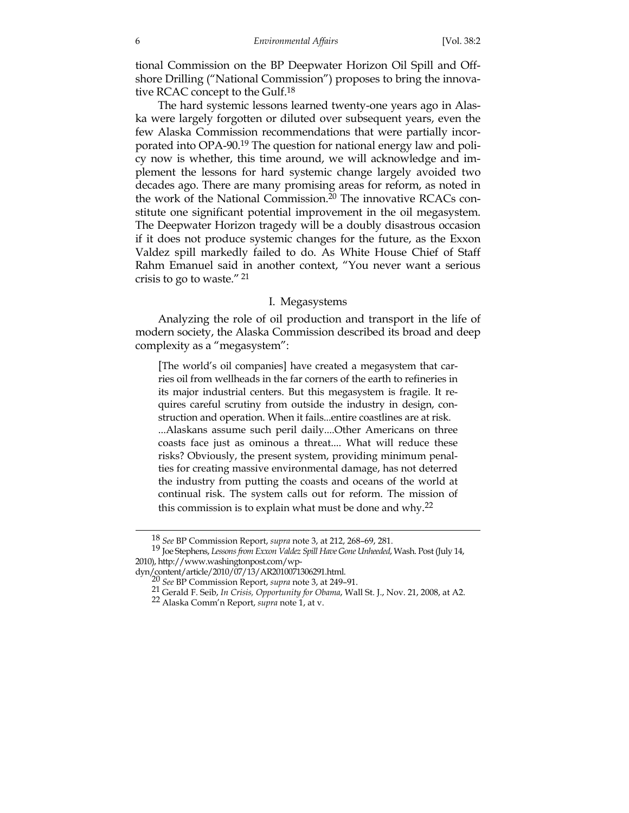tional Commission on the BP Deepwater Horizon Oil Spill and Offshore Drilling ("National Commission") proposes to bring the innovative RCAC concept to the Gulf.18

 The hard systemic lessons learned twenty-one years ago in Alaska were largely forgotten or diluted over subsequent years, even the few Alaska Commission recommendations that were partially incorporated into OPA-90.19 The question for national energy law and policy now is whether, this time around, we will acknowledge and implement the lessons for hard systemic change largely avoided two decades ago. There are many promising areas for reform, as noted in the work of the National Commission.20 The innovative RCACs constitute one significant potential improvement in the oil megasystem. The Deepwater Horizon tragedy will be a doubly disastrous occasion if it does not produce systemic changes for the future, as the Exxon Valdez spill markedly failed to do. As White House Chief of Staff Rahm Emanuel said in another context, "You never want a serious crisis to go to waste." <sup>21</sup>

#### I. Megasystems

 Analyzing the role of oil production and transport in the life of modern society, the Alaska Commission described its broad and deep complexity as a "megasystem":

[The world's oil companies] have created a megasystem that carries oil from wellheads in the far corners of the earth to refineries in its major industrial centers. But this megasystem is fragile. It requires careful scrutiny from outside the industry in design, construction and operation. When it fails...entire coastlines are at risk. ...Alaskans assume such peril daily....Other Americans on three coasts face just as ominous a threat.... What will reduce these risks? Obviously, the present system, providing minimum penalties for creating massive environmental damage, has not deterred the industry from putting the coasts and oceans of the world at continual risk. The system calls out for reform. The mission of this commission is to explain what must be done and why.<sup>22</sup>

 <sup>18</sup> *See* BP Commission Report, *supra* note 3, at 212, 268–69, 281.

<sup>19</sup> Joe Stephens, *Lessonsfrom Exxon Valdez Spill Have Gone Unheeded*, Wash. Post (July 14, 2010), http://www.washingtonpost.com/wp-<br>dyn/content/article/2010/07/13/AR2010071306291.html.

<sup>&</sup>lt;sup>20</sup> See BP Commission Report, *supra* note 3, at 249–91.

<sup>21</sup> Gerald F. Seib, *In Crisis, Opportunity for Obama*, Wall St. J., Nov. 21, 2008, at A2. 22 Alaska Comm'n Report, *supra* note 1, at v.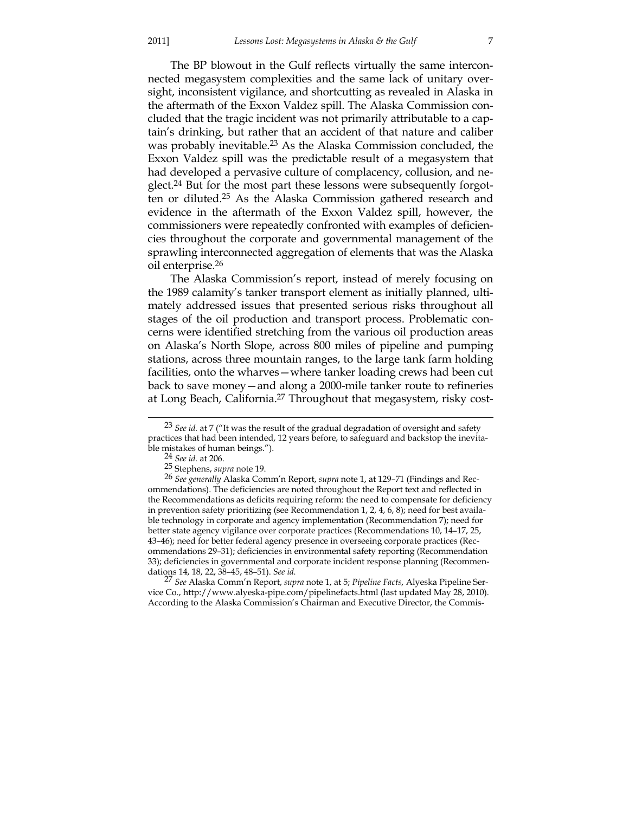The BP blowout in the Gulf reflects virtually the same interconnected megasystem complexities and the same lack of unitary oversight, inconsistent vigilance, and shortcutting as revealed in Alaska in the aftermath of the Exxon Valdez spill. The Alaska Commission concluded that the tragic incident was not primarily attributable to a captain's drinking, but rather that an accident of that nature and caliber was probably inevitable.23 As the Alaska Commission concluded, the Exxon Valdez spill was the predictable result of a megasystem that had developed a pervasive culture of complacency, collusion, and neglect.24 But for the most part these lessons were subsequently forgotten or diluted.25 As the Alaska Commission gathered research and evidence in the aftermath of the Exxon Valdez spill, however, the commissioners were repeatedly confronted with examples of deficiencies throughout the corporate and governmental management of the sprawling interconnected aggregation of elements that was the Alaska oil enterprise.26

 The Alaska Commission's report, instead of merely focusing on the 1989 calamity's tanker transport element as initially planned, ultimately addressed issues that presented serious risks throughout all stages of the oil production and transport process. Problematic concerns were identified stretching from the various oil production areas on Alaska's North Slope, across 800 miles of pipeline and pumping stations, across three mountain ranges, to the large tank farm holding facilities, onto the wharves—where tanker loading crews had been cut back to save money—and along a 2000-mile tanker route to refineries at Long Beach, California.<sup>27</sup> Throughout that megasystem, risky cost-

27 *See* Alaska Comm'n Report, *supra* note 1, at 5; *Pipeline Facts*, Alyeska Pipeline Service Co., http://www.alyeska-pipe.com/pipelinefacts.html (last updated May 28, 2010). According to the Alaska Commission's Chairman and Executive Director, the Commis-

<sup>&</sup>lt;sup>23</sup> *See id.* at 7 ("It was the result of the gradual degradation of oversight and safety practices that had been intended, 12 years before, to safeguard and backstop the inevitable mistakes of human beings."). 24 *See id.* at 206.

<sup>25</sup> Stephens, *supra* note 19.

<sup>26</sup> *See generally* Alaska Comm'n Report, *supra* note 1, at 129–71 (Findings and Recommendations). The deficiencies are noted throughout the Report text and reflected in the Recommendations as deficits requiring reform: the need to compensate for deficiency in prevention safety prioritizing (see Recommendation 1, 2, 4, 6, 8); need for best available technology in corporate and agency implementation (Recommendation 7); need for better state agency vigilance over corporate practices (Recommendations 10, 14–17, 25, 43–46); need for better federal agency presence in overseeing corporate practices (Recommendations 29–31); deficiencies in environmental safety reporting (Recommendation 33); deficiencies in governmental and corporate incident response planning (Recommendations 14, 18, 22, 38–45, 48–51). *See id.*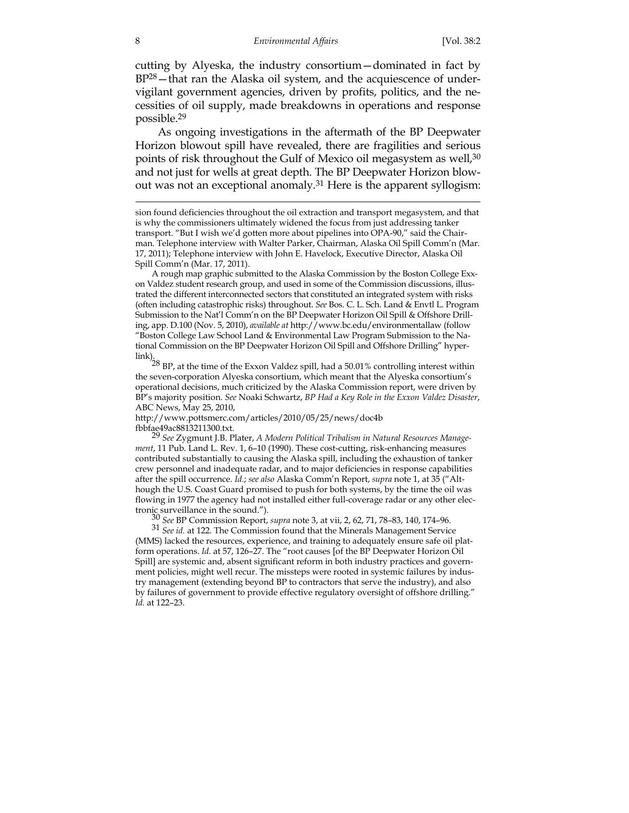cutting by Alyeska, the industry consortium—dominated in fact by BP28—that ran the Alaska oil system, and the acquiescence of undervigilant government agencies, driven by profits, politics, and the necessities of oil supply, made breakdowns in operations and response possible.29

 As ongoing investigations in the aftermath of the BP Deepwater Horizon blowout spill have revealed, there are fragilities and serious points of risk throughout the Gulf of Mexico oil megasystem as well,<sup>30</sup> and not just for wells at great depth. The BP Deepwater Horizon blowout was not an exceptional anomaly.<sup>31</sup> Here is the apparent syllogism:

A rough map graphic submitted to the Alaska Commission by the Boston College Exxon Valdez student research group, and used in some of the Commission discussions, illustrated the different interconnected sectors that constituted an integrated system with risks (often including catastrophic risks) throughout. *See* Bos. C. L. Sch. Land & Envtl L. Program Submission to the Nat'l Comm'n on the BP Deepwater Horizon Oil Spill & Offshore Drilling, app. D.100 (Nov. 5, 2010), *available at* http://www.bc.edu/environmentallaw (follow "Boston College Law School Land & Environmental Law Program Submission to the National Commission on the BP Deepwater Horizon Oil Spill and Offshore Drilling" hyper-

link).  $^{28}$  BP, at the time of the Exxon Valdez spill, had a 50.01% controlling interest within the seven-corporation Alyeska consortium, which meant that the Alyeska consortium's operational decisions, much criticized by the Alaska Commission report, were driven by BP's majority position. *See* Noaki Schwartz, *BP Had a Key Role in the Exxon Valdez Disaster*, ABC News, May 25, 2010,

http://www.pottsmerc.com/articles/2010/05/25/news/doc4b fbbfae49ac8813211300.txt.

29 *See* Zygmunt J.B. Plater, *A Modern Political Tribalism in Natural Resources Management*, 11 Pub. Land L. Rev. 1, 6–10 (1990). These cost-cutting, risk-enhancing measures contributed substantially to causing the Alaska spill, including the exhaustion of tanker crew personnel and inadequate radar, and to major deficiencies in response capabilities after the spill occurrence. *Id.*; *see also* Alaska Comm'n Report, *supra* note 1, at 35 ("Although the U.S. Coast Guard promised to push for both systems, by the time the oil was flowing in 1977 the agency had not installed either full-coverage radar or any other electronic surveillance in the sound."). 30 *See* BP Commission Report, *supra* note 3, at vii, 2, 62, 71, 78–83, 140, 174–96.

31 *See id.* at 122. The Commission found that the Minerals Management Service (MMS) lacked the resources, experience, and training to adequately ensure safe oil platform operations. *Id.* at 57, 126–27. The "root causes [of the BP Deepwater Horizon Oil Spill] are systemic and, absent significant reform in both industry practices and government policies, might well recur. The missteps were rooted in systemic failures by industry management (extending beyond BP to contractors that serve the industry), and also by failures of government to provide effective regulatory oversight of offshore drilling." *Id.* at 122–23.

sion found deficiencies throughout the oil extraction and transport megasystem, and that is why the commissioners ultimately widened the focus from just addressing tanker transport. "But I wish we'd gotten more about pipelines into OPA-90," said the Chairman. Telephone interview with Walter Parker, Chairman, Alaska Oil Spill Comm'n (Mar. 17, 2011); Telephone interview with John E. Havelock, Executive Director, Alaska Oil Spill Comm'n (Mar. 17, 2011).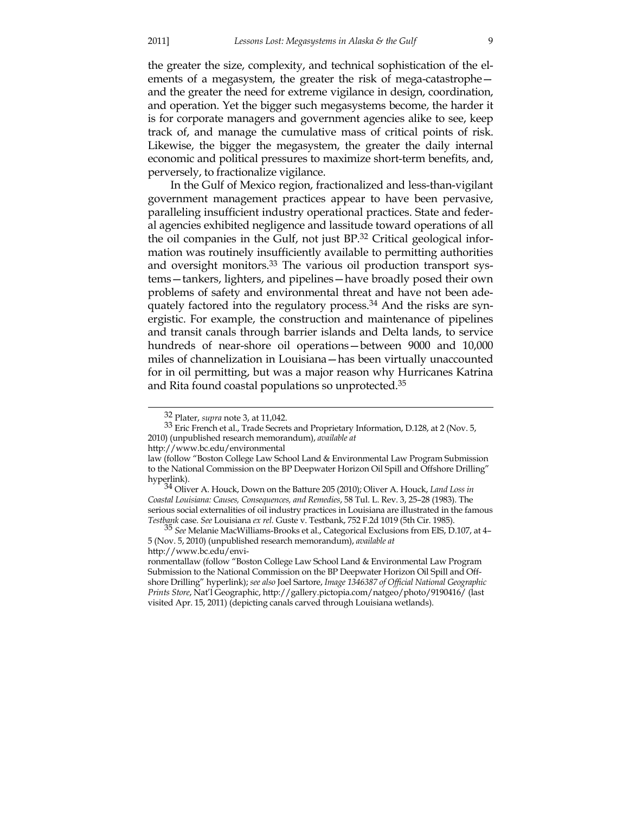the greater the size, complexity, and technical sophistication of the elements of a megasystem, the greater the risk of mega-catastrophe and the greater the need for extreme vigilance in design, coordination, and operation. Yet the bigger such megasystems become, the harder it is for corporate managers and government agencies alike to see, keep track of, and manage the cumulative mass of critical points of risk. Likewise, the bigger the megasystem, the greater the daily internal economic and political pressures to maximize short-term benefits, and, perversely, to fractionalize vigilance.

 In the Gulf of Mexico region, fractionalized and less-than-vigilant government management practices appear to have been pervasive, paralleling insufficient industry operational practices. State and federal agencies exhibited negligence and lassitude toward operations of all the oil companies in the Gulf, not just BP.32 Critical geological information was routinely insufficiently available to permitting authorities and oversight monitors.33 The various oil production transport systems—tankers, lighters, and pipelines—have broadly posed their own problems of safety and environmental threat and have not been adequately factored into the regulatory process.34 And the risks are synergistic. For example, the construction and maintenance of pipelines and transit canals through barrier islands and Delta lands, to service hundreds of near-shore oil operations—between 9000 and 10,000 miles of channelization in Louisiana—has been virtually unaccounted for in oil permitting, but was a major reason why Hurricanes Katrina and Rita found coastal populations so unprotected.35

 <sup>32</sup> Plater, *supra* note 3, at 11,042.

 $33$  Eric French et al., Trade Secrets and Proprietary Information, D.128, at 2 (Nov. 5, 2010) (unpublished research memorandum), *available at*

http://www.bc.edu/environmental

law (follow "Boston College Law School Land & Environmental Law Program Submission to the National Commission on the BP Deepwater Horizon Oil Spill and Offshore Drilling" hyperlink). 34 Oliver A. Houck, Down on the Batture 205 (2010); Oliver A. Houck, *Land Loss in* 

*Coastal Louisiana: Causes, Consequences, and Remedies*, 58 Tul. L. Rev. 3, 25–28 (1983). The serious social externalities of oil industry practices in Louisiana are illustrated in the famous Testbank case. See Louisiana ex rel. Guste v. Testbank, 752 F.2d 1019 (5th Cir. 1985).

<sup>&</sup>lt;sup>35</sup> See Melanie MacWilliams-Brooks et al., Categorical Exclusions from EIS, D.107, at 4– 5 (Nov. 5, 2010) (unpublished research memorandum), *available at*

http://www.bc.edu/envi-

ronmentallaw (follow "Boston College Law School Land & Environmental Law Program Submission to the National Commission on the BP Deepwater Horizon Oil Spill and Offshore Drilling" hyperlink); *see also* Joel Sartore, *Image 1346387 of Official National Geographic Prints Store*, Nat'l Geographic, http://gallery.pictopia.com/natgeo/photo/9190416/ (last visited Apr. 15, 2011) (depicting canals carved through Louisiana wetlands).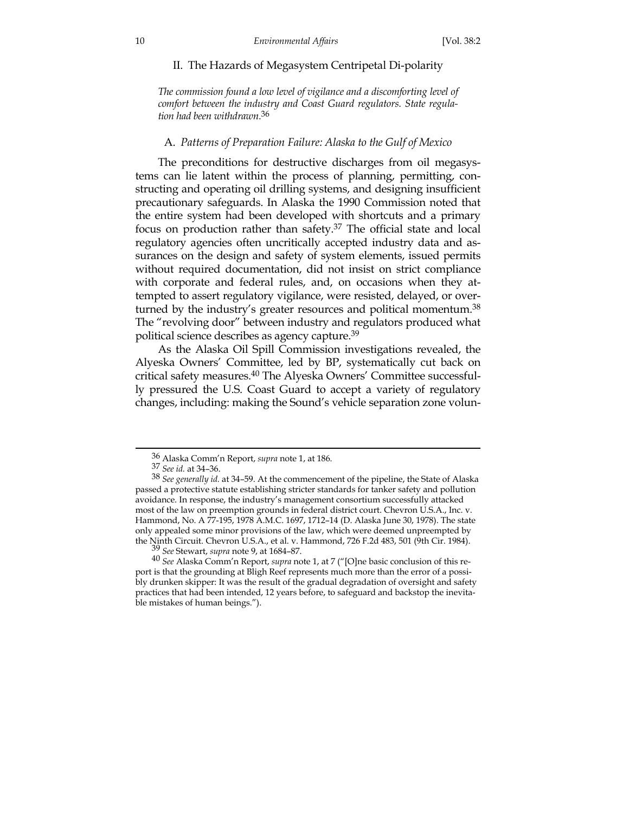#### II. The Hazards of Megasystem Centripetal Di-polarity

*The commission found a low level of vigilance and a discomforting level of comfort between the industry and Coast Guard regulators. State regulation had been withdrawn.*<sup>36</sup>

#### A. *Patterns of Preparation Failure: Alaska to the Gulf of Mexico*

 The preconditions for destructive discharges from oil megasystems can lie latent within the process of planning, permitting, constructing and operating oil drilling systems, and designing insufficient precautionary safeguards. In Alaska the 1990 Commission noted that the entire system had been developed with shortcuts and a primary focus on production rather than safety.37 The official state and local regulatory agencies often uncritically accepted industry data and assurances on the design and safety of system elements, issued permits without required documentation, did not insist on strict compliance with corporate and federal rules, and, on occasions when they attempted to assert regulatory vigilance, were resisted, delayed, or overturned by the industry's greater resources and political momentum.<sup>38</sup> The "revolving door" between industry and regulators produced what political science describes as agency capture.39

 As the Alaska Oil Spill Commission investigations revealed, the Alyeska Owners' Committee, led by BP, systematically cut back on critical safety measures.40 The Alyeska Owners' Committee successfully pressured the U.S. Coast Guard to accept a variety of regulatory changes, including: making the Sound's vehicle separation zone volun-

 <sup>36</sup> Alaska Comm'n Report, *supra* note 1, at 186.

<sup>37</sup> *See id.* at 34–36.

<sup>38</sup> *See generally id.* at 34–59. At the commencement of the pipeline, the State of Alaska passed a protective statute establishing stricter standards for tanker safety and pollution avoidance. In response, the industry's management consortium successfully attacked most of the law on preemption grounds in federal district court. Chevron U.S.A., Inc. v. Hammond, No. A 77-195, 1978 A.M.C. 1697, 1712–14 (D. Alaska June 30, 1978). The state only appealed some minor provisions of the law, which were deemed unpreempted by the Ninth Circuit. Chevron U.S.A., et al. v. Hammond, 726 F.2d 483, 501 (9th Cir. 1984). 39 *See* Stewart, *supra* note 9, at 1684–87.

<sup>40</sup> *See* Alaska Comm'n Report, *supra* note 1, at 7 ("[O]ne basic conclusion of this report is that the grounding at Bligh Reef represents much more than the error of a possibly drunken skipper: It was the result of the gradual degradation of oversight and safety practices that had been intended, 12 years before, to safeguard and backstop the inevitable mistakes of human beings.").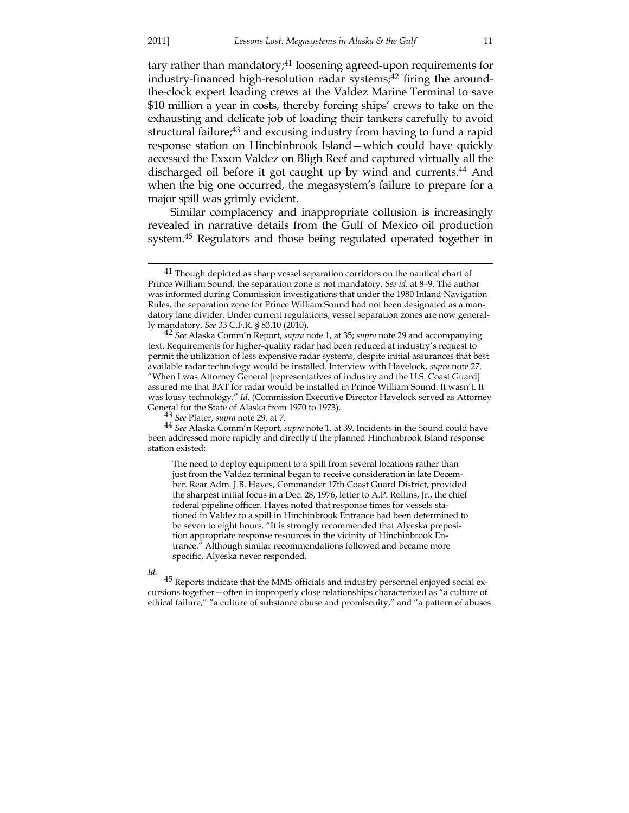tary rather than mandatory;<sup>41</sup> loosening agreed-upon requirements for industry-financed high-resolution radar systems;<sup>42</sup> firing the aroundthe-clock expert loading crews at the Valdez Marine Terminal to save \$10 million a year in costs, thereby forcing ships' crews to take on the exhausting and delicate job of loading their tankers carefully to avoid structural failure<sup>43</sup> and excusing industry from having to fund a rapid response station on Hinchinbrook Island—which could have quickly accessed the Exxon Valdez on Bligh Reef and captured virtually all the discharged oil before it got caught up by wind and currents.<sup>44</sup> And when the big one occurred, the megasystem's failure to prepare for a major spill was grimly evident.

 Similar complacency and inappropriate collusion is increasingly revealed in narrative details from the Gulf of Mexico oil production system.45 Regulators and those being regulated operated together in

44 *See* Alaska Comm'n Report, *supra* note 1, at 39. Incidents in the Sound could have been addressed more rapidly and directly if the planned Hinchinbrook Island response station existed:

The need to deploy equipment to a spill from several locations rather than just from the Valdez terminal began to receive consideration in late December. Rear Adm. J.B. Hayes, Commander 17th Coast Guard District, provided the sharpest initial focus in a Dec. 28, 1976, letter to A.P. Rollins, Jr., the chief federal pipeline officer. Hayes noted that response times for vessels stationed in Valdez to a spill in Hinchinbrook Entrance had been determined to be seven to eight hours. "It is strongly recommended that Alyeska preposition appropriate response resources in the vicinity of Hinchinbrook Entrance." Although similar recommendations followed and became more specific, Alyeska never responded.

*Id.*

 $45$  Reports indicate that the MMS officials and industry personnel enjoyed social excursions together—often in improperly close relationships characterized as "a culture of ethical failure," "a culture of substance abuse and promiscuity," and "a pattern of abuses

 $41$  Though depicted as sharp vessel separation corridors on the nautical chart of Prince William Sound, the separation zone is not mandatory. *See id.* at 8–9. The author was informed during Commission investigations that under the 1980 Inland Navigation Rules, the separation zone for Prince William Sound had not been designated as a mandatory lane divider. Under current regulations, vessel separation zones are now generally mandatory. See 33 C.F.R. § 83.10 (2010).

<sup>&</sup>lt;sup>42</sup> See Alaska Comm'n Report, *supra* note 1, at 35; *supra* note 29 and accompanying text. Requirements for higher-quality radar had been reduced at industry's request to permit the utilization of less expensive radar systems, despite initial assurances that best available radar technology would be installed. Interview with Havelock, *supra* note 27. "When I was Attorney General [representatives of industry and the U.S. Coast Guard] assured me that BAT for radar would be installed in Prince William Sound. It wasn't. It was lousy technology." *Id.* (Commission Executive Director Havelock served as Attorney General for the State of Alaska from 1970 to 1973). 43 *See* Plater, *supra* note 29, at 7.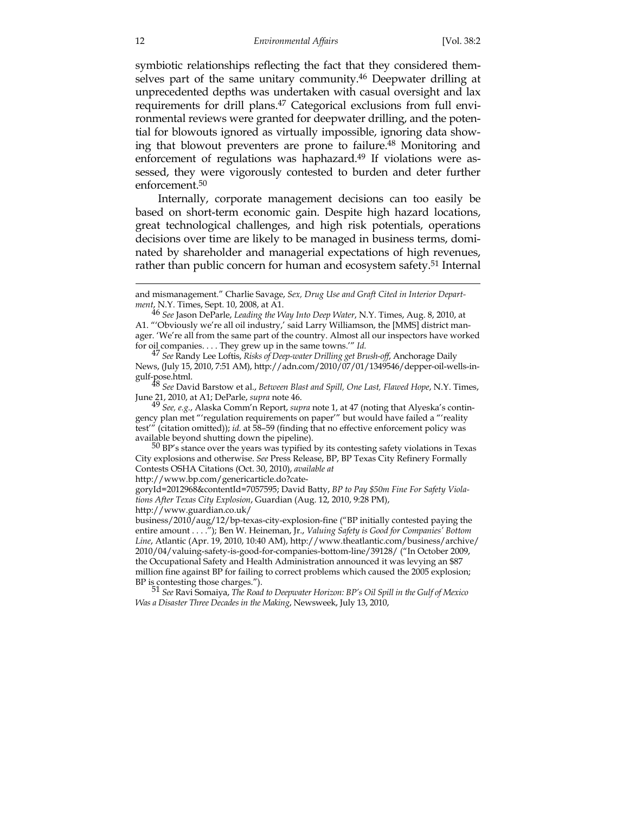symbiotic relationships reflecting the fact that they considered themselves part of the same unitary community.<sup>46</sup> Deepwater drilling at unprecedented depths was undertaken with casual oversight and lax requirements for drill plans.47 Categorical exclusions from full environmental reviews were granted for deepwater drilling, and the potential for blowouts ignored as virtually impossible, ignoring data showing that blowout preventers are prone to failure.<sup>48</sup> Monitoring and enforcement of regulations was haphazard.<sup>49</sup> If violations were assessed, they were vigorously contested to burden and deter further enforcement.50

 Internally, corporate management decisions can too easily be based on short-term economic gain. Despite high hazard locations, great technological challenges, and high risk potentials, operations decisions over time are likely to be managed in business terms, dominated by shareholder and managerial expectations of high revenues, rather than public concern for human and ecosystem safety.<sup>51</sup> Internal

June 21, 2010, at A1; DeParle, *supra* note 46.

49 *See, e.g.*, Alaska Comm'n Report, *supra* note 1, at 47 (noting that Alyeska's contingency plan met "'regulation requirements on paper'" but would have failed a "'reality test'" (citation omitted)); *id.* at 58–59 (finding that no effective enforcement policy was available beyond shutting down the pipeline).<br><sup>50</sup> BP's stance over the years was typified by its contesting safety violations in Texas

City explosions and otherwise. *See* Press Release, BP, BP Texas City Refinery Formally Contests OSHA Citations (Oct. 30, 2010), *available at*

http://www.bp.com/genericarticle.do?cate-

goryId=2012968&contentId=7057595; David Batty, *BP to Pay \$50m Fine For Safety Violations After Texas City Explosion*, Guardian (Aug. 12, 2010, 9:28 PM),

http://www.guardian.co.uk/

business/2010/aug/12/bp-texas-city-explosion-fine ("BP initially contested paying the entire amount . . . ."); Ben W. Heineman, Jr., *Valuing Safety is Good for Companies' Bottom Line*, Atlantic (Apr. 19, 2010, 10:40 AM), http://www.theatlantic.com/business/archive/ 2010/04/valuing-safety-is-good-for-companies-bottom-line/39128/ ("In October 2009, the Occupational Safety and Health Administration announced it was levying an \$87 million fine against BP for failing to correct problems which caused the 2005 explosion; BP is contesting those charges."). 51 *See* Ravi Somaiya, *The Road to Deepwater Horizon: BP's Oil Spill in the Gulf of Mexico* 

*Was a Disaster Three Decades in the Making*, Newsweek, July 13, 2010,

and mismanagement." Charlie Savage, *Sex, Drug Use and Graft Cited in Interior Department*, N.Y. Times, Sept. 10, 2008, at A1.

<sup>46</sup> *See* Jason DeParle, *Leading the Way Into Deep Water*, N.Y. Times, Aug. 8, 2010, at A1. "'Obviously we're all oil industry,' said Larry Williamson, the [MMS] district manager. 'We're all from the same part of the country. Almost all our inspectors have worked for oil companies. . . . They grew up in the same towns.'" *Id.*

<sup>47</sup> *See* Randy Lee Loftis, *Risks of Deep-water Drilling get Brush-off*, Anchorage Daily News, (July 15, 2010, 7:51 AM), http://adn.com/2010/07/01/1349546/depper-oil-wells-ingulf-pose.html. 48 *See* David Barstow et al., *Between Blast and Spill, One Last, Flawed Hope*, N.Y. Times,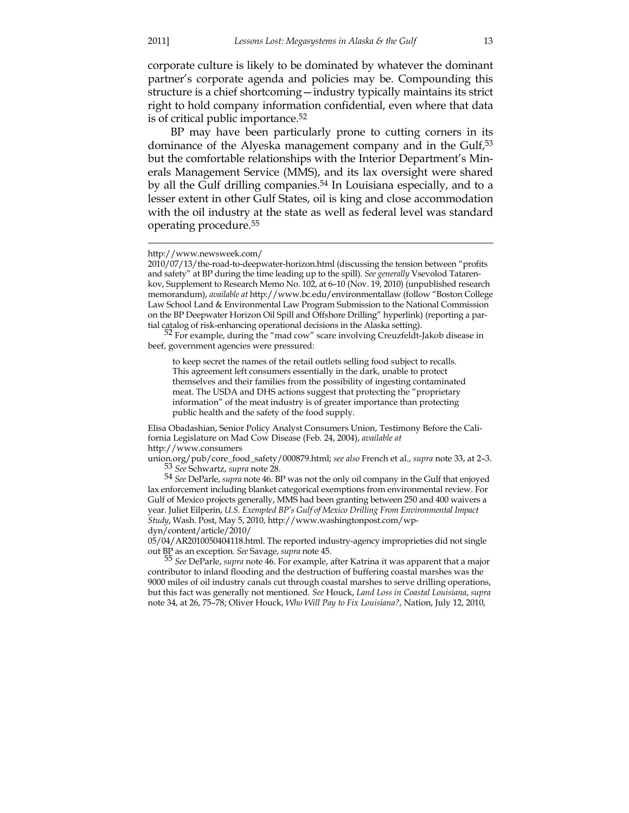<u>.</u>

corporate culture is likely to be dominated by whatever the dominant partner's corporate agenda and policies may be. Compounding this structure is a chief shortcoming—industry typically maintains its strict right to hold company information confidential, even where that data is of critical public importance.52

 BP may have been particularly prone to cutting corners in its dominance of the Alyeska management company and in the Gulf,<sup>53</sup> but the comfortable relationships with the Interior Department's Minerals Management Service (MMS), and its lax oversight were shared by all the Gulf drilling companies.54 In Louisiana especially, and to a lesser extent in other Gulf States, oil is king and close accommodation with the oil industry at the state as well as federal level was standard operating procedure.55

tial catalog of risk-enhancing operational decisions in the Alaska setting).<br><sup>52</sup> For example, during the "mad cow" scare involving Creuzfeldt-Jakob disease in beef, government agencies were pressured:

to keep secret the names of the retail outlets selling food subject to recalls. This agreement left consumers essentially in the dark, unable to protect themselves and their families from the possibility of ingesting contaminated meat. The USDA and DHS actions suggest that protecting the "proprietary information" of the meat industry is of greater importance than protecting public health and the safety of the food supply.

Elisa Obadashian, Senior Policy Analyst Consumers Union, Testimony Before the California Legislature on Mad Cow Disease (Feb. 24, 2004), *available at* http://www.consumers

union.org/pub/core\_food\_safety/000879.html; *see also* French et al., *supra* note 33, at 2–3. 53 *See* Schwartz, *supra* note 28.

54 *See* DeParle, *supra* note 46. BP was not the only oil company in the Gulf that enjoyed lax enforcement including blanket categorical exemptions from environmental review. For Gulf of Mexico projects generally, MMS had been granting between 250 and 400 waivers a year. Juliet Eilperin, *U.S. Exempted BP's Gulf of Mexico Drilling From Environmental Impact Study*, Wash. Post, May 5, 2010, http://www.washingtonpost.com/wpdyn/content/article/2010/

05/04/AR2010050404118.html. The reported industry-agency improprieties did not single out BP as an exception. *See* Savage, *supra* note 45.

55 *See* DeParle, *supra* note 46. For example, after Katrina it was apparent that a major contributor to inland flooding and the destruction of buffering coastal marshes was the 9000 miles of oil industry canals cut through coastal marshes to serve drilling operations, but this fact was generally not mentioned. *See* Houck, *Land Loss in Coastal Louisiana*, *supra* note 34, at 26, 75–78; Oliver Houck, *Who Will Pay to Fix Louisiana?*, Nation, July 12, 2010,

http://www.newsweek.com/

<sup>2010/07/13/</sup>the-road-to-deepwater-horizon.html (discussing the tension between "profits and safety" at BP during the time leading up to the spill). *See generally* Vsevolod Tatarenkov, Supplement to Research Memo No. 102, at 6–10 (Nov. 19, 2010) (unpublished research memorandum), *available at* http://www.bc.edu/environmentallaw (follow "Boston College Law School Land & Environmental Law Program Submission to the National Commission on the BP Deepwater Horizon Oil Spill and Offshore Drilling" hyperlink) (reporting a par-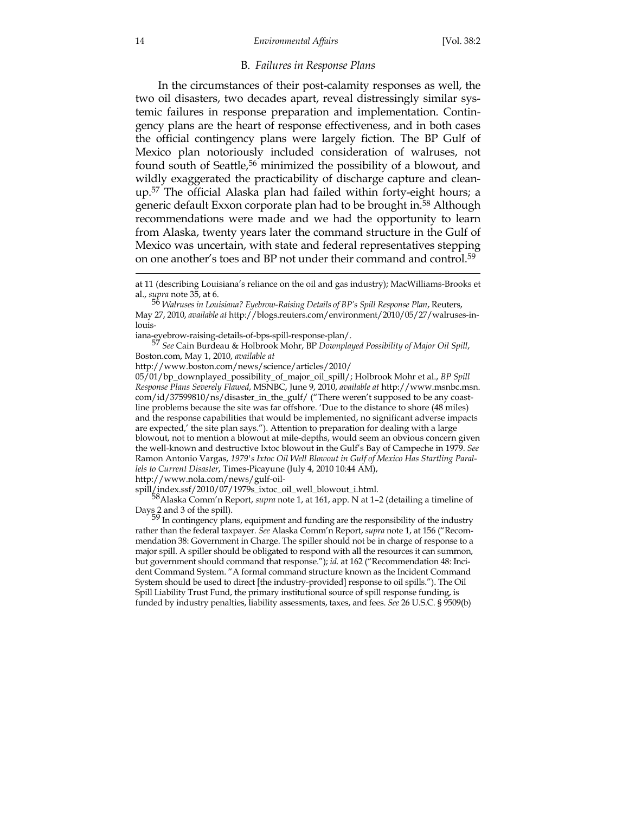#### B. *Failures in Response Plans*

 In the circumstances of their post-calamity responses as well, the two oil disasters, two decades apart, reveal distressingly similar systemic failures in response preparation and implementation. Contingency plans are the heart of response effectiveness, and in both cases the official contingency plans were largely fiction. The BP Gulf of Mexico plan notoriously included consideration of walruses, not found south of Seattle,<sup>56</sup> minimized the possibility of a blowout, and wildly exaggerated the practicability of discharge capture and cleanup.57 The official Alaska plan had failed within forty-eight hours; a generic default Exxon corporate plan had to be brought in.58 Although recommendations were made and we had the opportunity to learn from Alaska, twenty years later the command structure in the Gulf of Mexico was uncertain, with state and federal representatives stepping on one another's toes and BP not under their command and control.59

iana-eyebrow-raising-details-of-bps-spill-response-plan/. 57 *See* Cain Burdeau & Holbrook Mohr, BP *Downplayed Possibility of Major Oil Spill*, Boston.com, May 1, 2010, *available at*

http://www.boston.com/news/science/articles/2010/

05/01/bp\_downplayed\_possibility\_of\_major\_oil\_spill/; Holbrook Mohr et al., *BP Spill Response Plans Severely Flawed*, MSNBC, June 9, 2010, *available at* http://www.msnbc.msn. com/id/37599810/ns/disaster\_in\_the\_gulf/ ("There weren't supposed to be any coastline problems because the site was far offshore. 'Due to the distance to shore (48 miles) and the response capabilities that would be implemented, no significant adverse impacts are expected,' the site plan says."). Attention to preparation for dealing with a large blowout, not to mention a blowout at mile-depths, would seem an obvious concern given the well-known and destructive Ixtoc blowout in the Gulf's Bay of Campeche in 1979. *See* Ramon Antonio Vargas, *1979's Ixtoc Oil Well Blowout in Gulf of Mexico Has Startling Parallels to Current Disaster*, Times-Picayune (July 4, 2010 10:44 AM),

http://www.nola.com/news/gulf-oil-

spill/index.ssf/2010/07/1979s\_ixtoc\_oil\_well\_blowout\_i.html.

58Alaska Comm'n Report, *supra* note 1, at 161, app. N at 1–2 (detailing a timeline of Days 2 and 3 of the spill). 59 In contingency plans, equipment and funding are the responsibility of the industry

rather than the federal taxpayer. *See* Alaska Comm'n Report, *supra* note 1, at 156 ("Recommendation 38: Government in Charge. The spiller should not be in charge of response to a major spill. A spiller should be obligated to respond with all the resources it can summon, but government should command that response."); *id.* at 162 ("Recommendation 48: Incident Command System. "A formal command structure known as the Incident Command System should be used to direct [the industry-provided] response to oil spills."). The Oil Spill Liability Trust Fund, the primary institutional source of spill response funding, is funded by industry penalties, liability assessments, taxes, and fees. *See* 26 U.S.C. § 9509(b)

at 11 (describing Louisiana's reliance on the oil and gas industry); MacWilliams-Brooks et al., *supra* note 35, at 6.

<sup>56</sup> *Walruses in Louisiana? Eyebrow-Raising Details of BP's Spill Response Plan*, Reuters, May 27, 2010, *available at* http://blogs.reuters.com/environment/2010/05/27/walruses-in $l$ ouis-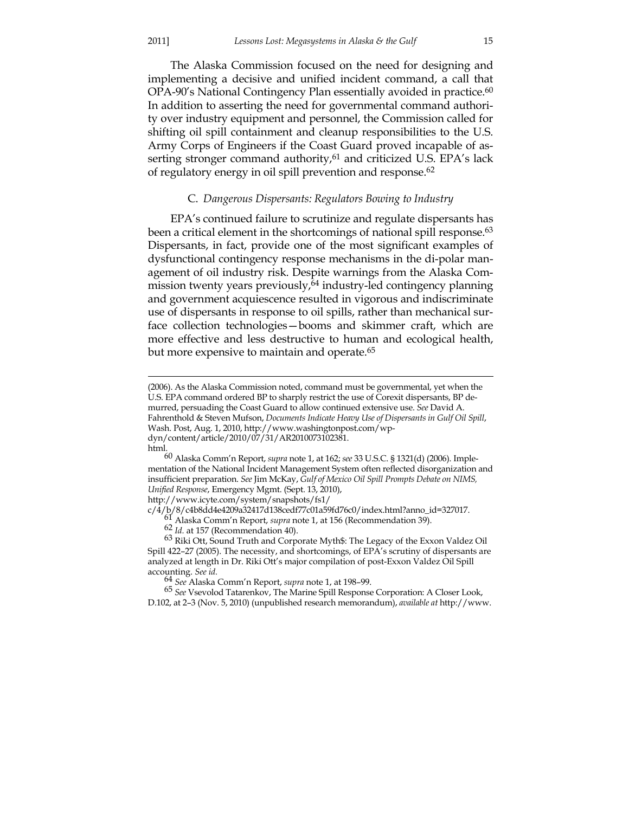#### 2011] *Lessons Lost: Megasystems in Alaska & the Gulf* 15

 The Alaska Commission focused on the need for designing and implementing a decisive and unified incident command, a call that OPA-90's National Contingency Plan essentially avoided in practice.<sup>60</sup> In addition to asserting the need for governmental command authority over industry equipment and personnel, the Commission called for shifting oil spill containment and cleanup responsibilities to the U.S. Army Corps of Engineers if the Coast Guard proved incapable of asserting stronger command authority,<sup>61</sup> and criticized U.S. EPA's lack of regulatory energy in oil spill prevention and response.62

#### C. *Dangerous Dispersants: Regulators Bowing to Industry*

 EPA's continued failure to scrutinize and regulate dispersants has been a critical element in the shortcomings of national spill response.<sup>63</sup> Dispersants, in fact, provide one of the most significant examples of dysfunctional contingency response mechanisms in the di-polar management of oil industry risk. Despite warnings from the Alaska Commission twenty years previously, $64$  industry-led contingency planning and government acquiescence resulted in vigorous and indiscriminate use of dispersants in response to oil spills, rather than mechanical surface collection technologies—booms and skimmer craft, which are more effective and less destructive to human and ecological health, but more expensive to maintain and operate.<sup>65</sup>

60 Alaska Comm'n Report, *supra* note 1, at 162; *see* 33 U.S.C. § 1321(d) (2006). Implementation of the National Incident Management System often reflected disorganization and insufficient preparation. *See* Jim McKay, *Gulf of Mexico Oil Spill Prompts Debate on NIMS, Unified Response*, Emergency Mgmt. (Sept. 13, 2010),

http://www.icyte.com/system/snapshots/fs1/<br>c/4/b/8/c4b8dd4e4209a32417d138cedf77c01a59fd76c0/index.html?anno\_id=327017.

<u>.</u>

<sup>(2006).</sup> As the Alaska Commission noted, command must be governmental, yet when the U.S. EPA command ordered BP to sharply restrict the use of Corexit dispersants, BP demurred, persuading the Coast Guard to allow continued extensive use. *See* David A. Fahrenthold & Steven Mufson, *Documents Indicate Heavy Use of Dispersants in Gulf Oil Spill*, Wash. Post, Aug. 1, 2010, http://www.washingtonpost.com/wpdyn/content/article/2010/07/31/AR2010073102381. html.

<sup>&</sup>lt;sup>61</sup> Alaska Comm'n Report, *supra* note 1, at 156 (Recommendation 39).<br><sup>62</sup> Id. at 157 (Recommendation 40).<br><sup>63</sup> Riki Ott, Sound Truth and Corporate Myth\$: The Legacy of the Exxon Valdez Oil Spill 422–27 (2005). The necessity, and shortcomings, of EPA's scrutiny of dispersants are analyzed at length in Dr. Riki Ott's major compilation of post-Exxon Valdez Oil Spill accounting. *See id.*

<sup>64</sup> *See* Alaska Comm'n Report, *supra* note 1, at 198–99.

<sup>65</sup> *See* Vsevolod Tatarenkov, The Marine Spill Response Corporation: A Closer Look, D.102, at 2–3 (Nov. 5, 2010) (unpublished research memorandum), *available at* http://www.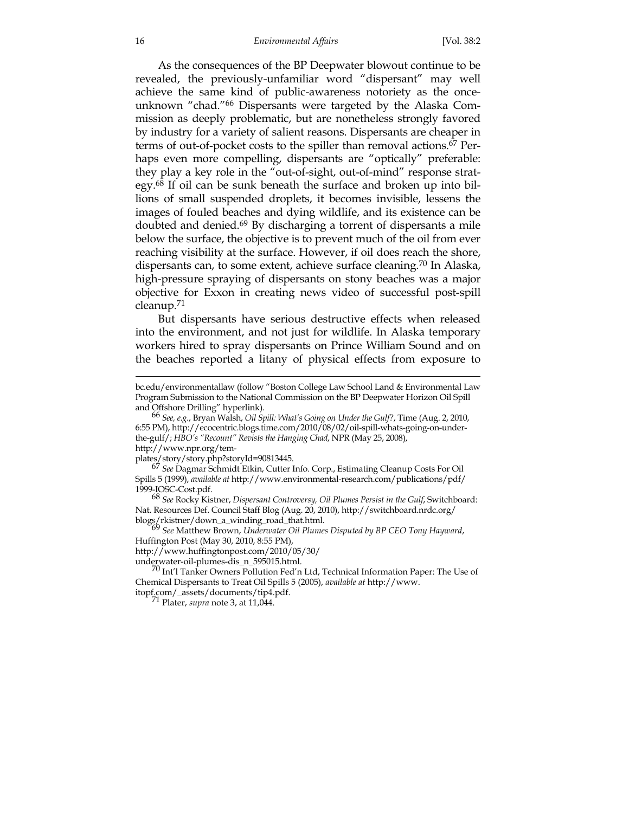As the consequences of the BP Deepwater blowout continue to be revealed, the previously-unfamiliar word "dispersant" may well achieve the same kind of public-awareness notoriety as the onceunknown "chad."66 Dispersants were targeted by the Alaska Commission as deeply problematic, but are nonetheless strongly favored by industry for a variety of salient reasons. Dispersants are cheaper in terms of out-of-pocket costs to the spiller than removal actions.<sup>67</sup> Perhaps even more compelling, dispersants are "optically" preferable: they play a key role in the "out-of-sight, out-of-mind" response strategy.68 If oil can be sunk beneath the surface and broken up into billions of small suspended droplets, it becomes invisible, lessens the images of fouled beaches and dying wildlife, and its existence can be doubted and denied.69 By discharging a torrent of dispersants a mile below the surface, the objective is to prevent much of the oil from ever reaching visibility at the surface. However, if oil does reach the shore, dispersants can, to some extent, achieve surface cleaning.70 In Alaska, high-pressure spraying of dispersants on stony beaches was a major objective for Exxon in creating news video of successful post-spill cleanup.71

 But dispersants have serious destructive effects when released into the environment, and not just for wildlife. In Alaska temporary workers hired to spray dispersants on Prince William Sound and on the beaches reported a litany of physical effects from exposure to

http://www.npr.org/tem-<br>plates/story/story.php?storyId=90813445.

blogs<sup>2</sup> See Matthew Brown, Underwater Oil Plumes Disputed by BP CEO Tony Hayward, Huffington Post (May 30, 2010, 8:55 PM),

http://www.huffingtonpost.com/2010/05/30/

bc.edu/environmentallaw (follow "Boston College Law School Land & Environmental Law Program Submission to the National Commission on the BP Deepwater Horizon Oil Spill

and Offshore Drilling" hyperlink). 66 *See, e.g.*, Bryan Walsh, *Oil Spill: What's Going on Under the Gulf?*, Time (Aug. 2, 2010, 6:55 PM), http://ecocentric.blogs.time.com/2010/08/02/oil-spill-whats-going-on-underthe-gulf/; *HBO's "Recount" Revists the Hanging Chad*, NPR (May 25, 2008),

<sup>&</sup>lt;sup>67</sup> See Dagmar Schmidt Etkin, Cutter Info. Corp., Estimating Cleanup Costs For Oil Spills 5 (1999), *available at* http://www.environmental-research.com/publications/pdf/

<sup>1999-</sup>IOSC-Cost.pdf. 68 *See* Rocky Kistner, *Dispersant Controversy, Oil Plumes Persist in the Gulf*, Switchboard: Nat. Resources Def. Council Staff Blog (Aug. 20, 2010), http://switchboard.nrdc.org/<br>blogs/rkistner/down\_a\_winding\_road\_that.html.<br>69 See Matthew Brewser M. J.

underwater-oil-plumes-dis\_n\_595015.html. 70 Int'l Tanker Owners Pollution Fed'n Ltd, Technical Information Paper: The Use of Chemical Dispersants to Treat Oil Spills 5 (2005), *available at* http://www.

itopf.com/\_assets/documents/tip4.pdf. 71 Plater, *supra* note 3, at 11,044.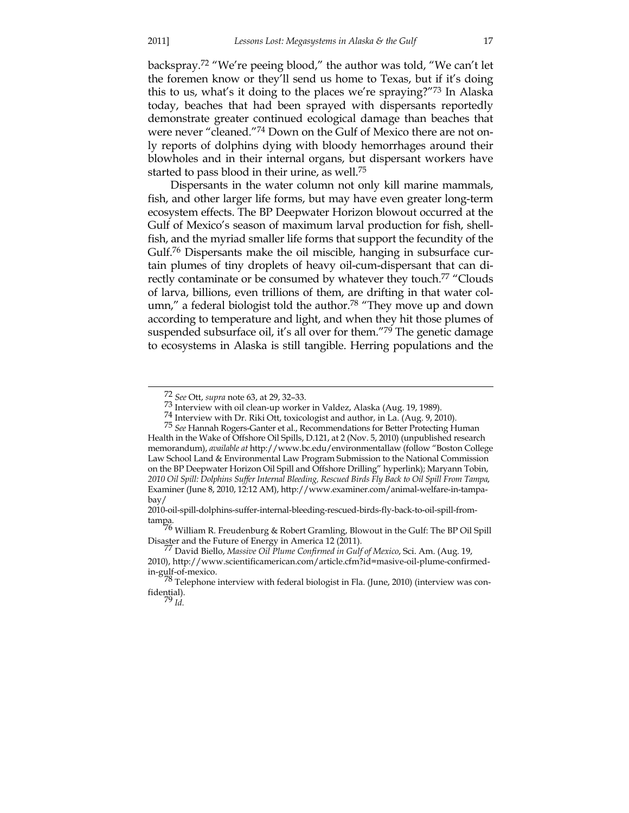backspray.72 "We're peeing blood," the author was told, "We can't let the foremen know or they'll send us home to Texas, but if it's doing this to us, what's it doing to the places we're spraying?"73 In Alaska today, beaches that had been sprayed with dispersants reportedly demonstrate greater continued ecological damage than beaches that were never "cleaned."74 Down on the Gulf of Mexico there are not only reports of dolphins dying with bloody hemorrhages around their blowholes and in their internal organs, but dispersant workers have started to pass blood in their urine, as well.75

 Dispersants in the water column not only kill marine mammals, fish, and other larger life forms, but may have even greater long-term ecosystem effects. The BP Deepwater Horizon blowout occurred at the Gulf of Mexico's season of maximum larval production for fish, shellfish, and the myriad smaller life forms that support the fecundity of the Gulf.76 Dispersants make the oil miscible, hanging in subsurface curtain plumes of tiny droplets of heavy oil-cum-dispersant that can directly contaminate or be consumed by whatever they touch.<sup>77</sup> "Clouds of larva, billions, even trillions of them, are drifting in that water column," a federal biologist told the author.<sup>78</sup> "They move up and down according to temperature and light, and when they hit those plumes of suspended subsurface oil, it's all over for them."<sup>79</sup> The genetic damage to ecosystems in Alaska is still tangible. Herring populations and the

 <sup>72</sup> *See* Ott, *supra* note 63, at 29, 32–33.

 $^{74}$  Interview with Dr. Riki Ott, toxicologist and author, in La. (Aug. 9, 2010).  $^{75}$  See Hannah Rogers-Ganter et al., Recommendations for Better Protecting Human Health in the Wake of Offshore Oil Spills, D.121, at 2 (Nov. 5, 2010) (unpublished research memorandum), *available at* http://www.bc.edu/environmentallaw (follow "Boston College Law School Land & Environmental Law Program Submission to the National Commission on the BP Deepwater Horizon Oil Spill and Offshore Drilling" hyperlink); Maryann Tobin, *2010 Oil Spill: Dolphins Suffer Internal Bleeding, Rescued Birds Fly Back to Oil Spill From Tampa*, Examiner (June 8, 2010, 12:12 AM), http://www.examiner.com/animal-welfare-in-tampabay/

<sup>2010-</sup>oil-spill-dolphins-suffer-internal-bleeding-rescued-birds-fly-back-to-oil-spill-from-

tampa. 76 William R. Freudenburg & Robert Gramling, Blowout in the Gulf: The BP Oil Spill Disaster and the Future of Energy in America 12 (2011). 77 David Biello, *Massive Oil Plume Confirmed in Gulf of Mexico*, Sci. Am. (Aug. 19,

<sup>2010),</sup> http://www.scientificamerican.com/article.cfm?id=masive-oil-plume-confirmedin-gulf-of-mexico. 78 Telephone interview with federal biologist in Fla. (June, 2010) (interview was con-

fidential). 79 *Id.*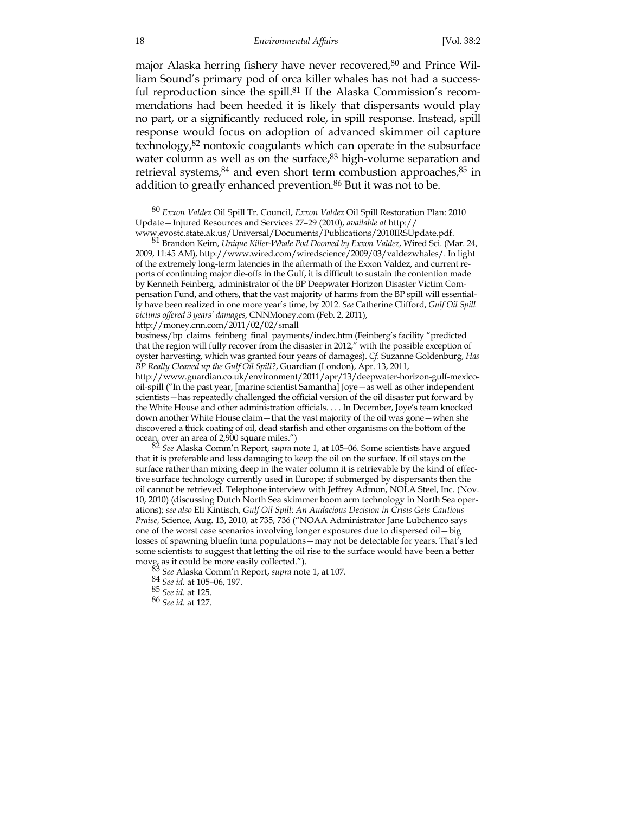major Alaska herring fishery have never recovered,<sup>80</sup> and Prince William Sound's primary pod of orca killer whales has not had a successful reproduction since the spill.<sup>81</sup> If the Alaska Commission's recommendations had been heeded it is likely that dispersants would play no part, or a significantly reduced role, in spill response. Instead, spill response would focus on adoption of advanced skimmer oil capture technology,82 nontoxic coagulants which can operate in the subsurface water column as well as on the surface,<sup>83</sup> high-volume separation and retrieval systems, $84$  and even short term combustion approaches, $85$  in addition to greatly enhanced prevention.<sup>86</sup> But it was not to be.

www.evostc.state.ak.us/Universal/Documents/Publications/2010IRSUpdate.pdf. 81 Brandon Keim, *Unique Killer-Whale Pod Doomed by Exxon Valdez*, Wired Sci. (Mar. 24, 2009, 11:45 AM), http://www.wired.com/wiredscience/2009/03/valdezwhales/. In light of the extremely long-term latencies in the aftermath of the Exxon Valdez, and current reports of continuing major die-offs in the Gulf, it is difficult to sustain the contention made by Kenneth Feinberg, administrator of the BP Deepwater Horizon Disaster Victim Compensation Fund, and others, that the vast majority of harms from the BP spill will essentially have been realized in one more year's time, by 2012. *See* Catherine Clifford, *Gulf Oil Spill victims offered 3 years' damages*, CNNMoney.com (Feb. 2, 2011), http://money.cnn.com/2011/02/02/small

business/bp\_claims\_feinberg\_final\_payments/index.htm (Feinberg's facility "predicted that the region will fully recover from the disaster in 2012," with the possible exception of oyster harvesting, which was granted four years of damages). *Cf.* Suzanne Goldenburg, *Has BP Really Cleaned up the Gulf Oil Spill?*, Guardian (London), Apr. 13, 2011, http://www.guardian.co.uk/environment/2011/apr/13/deepwater-horizon-gulf-mexico-

oil-spill ("In the past year, [marine scientist Samantha] Joye—as well as other independent scientists—has repeatedly challenged the official version of the oil disaster put forward by the White House and other administration officials. . . . In December, Joye's team knocked down another White House claim—that the vast majority of the oil was gone—when she discovered a thick coating of oil, dead starfish and other organisms on the bottom of the

ocean, over an area of 2,900 square miles.") 82 *See* Alaska Comm'n Report, *supra* note 1, at 105–06. Some scientists have argued that it is preferable and less damaging to keep the oil on the surface. If oil stays on the surface rather than mixing deep in the water column it is retrievable by the kind of effective surface technology currently used in Europe; if submerged by dispersants then the oil cannot be retrieved. Telephone interview with Jeffrey Admon, NOLA Steel, Inc. (Nov. 10, 2010) (discussing Dutch North Sea skimmer boom arm technology in North Sea operations); *see also* Eli Kintisch, *Gulf Oil Spill: An Audacious Decision in Crisis Gets Cautious Praise*, Science, Aug. 13, 2010, at 735, 736 ("NOAA Administrator Jane Lubchenco says one of the worst case scenarios involving longer exposures due to dispersed oil—big losses of spawning bluefin tuna populations—may not be detectable for years. That's led some scientists to suggest that letting the oil rise to the surface would have been a better move, as it could be more easily collected.").

83 See Alaska Comm'n Report, *supra* note 1, at 107.

 <sup>80</sup> *Exxon Valdez* Oil Spill Tr. Council, *Exxon Valdez* Oil Spill Restoration Plan: 2010 Update—Injured Resources and Services 27–29 (2010), *available at* http://

<sup>84</sup> *See id.* at 105–06, 197.

<sup>85</sup> *See id.* at 125.

<sup>86</sup> *See id.* at 127.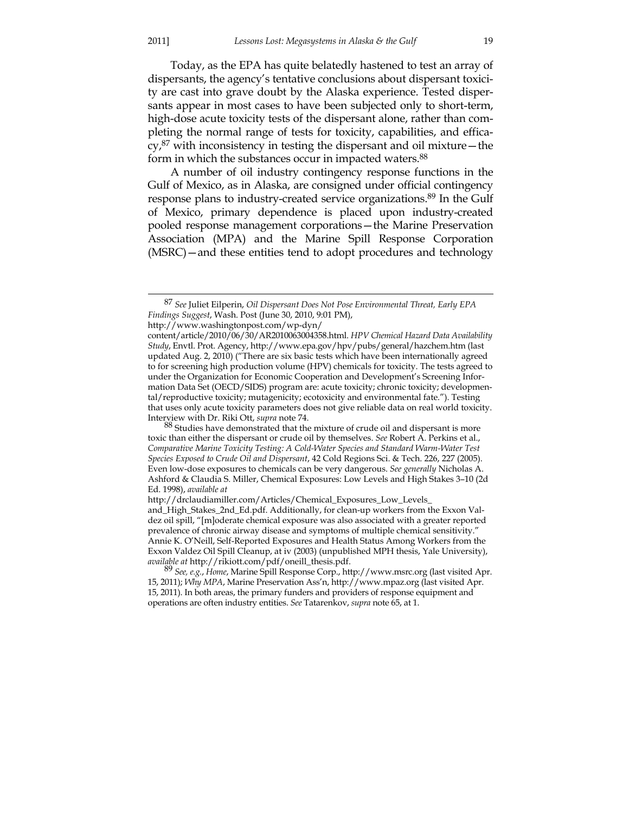Today, as the EPA has quite belatedly hastened to test an array of dispersants, the agency's tentative conclusions about dispersant toxicity are cast into grave doubt by the Alaska experience. Tested dispersants appear in most cases to have been subjected only to short-term, high-dose acute toxicity tests of the dispersant alone, rather than completing the normal range of tests for toxicity, capabilities, and effica- $\text{cv,}^{87}$  with inconsistency in testing the dispersant and oil mixture – the form in which the substances occur in impacted waters.<sup>88</sup>

 A number of oil industry contingency response functions in the Gulf of Mexico, as in Alaska, are consigned under official contingency response plans to industry-created service organizations.<sup>89</sup> In the Gulf of Mexico, primary dependence is placed upon industry-created pooled response management corporations—the Marine Preservation Association (MPA) and the Marine Spill Response Corporation (MSRC)—and these entities tend to adopt procedures and technology

http://www.washingtonpost.com/wp-dyn/

 <sup>87</sup> *See* Juliet Eilperin, *Oil Dispersant Does Not Pose Environmental Threat, Early EPA Findings Suggest*, Wash. Post (June 30, 2010, 9:01 PM),

content/article/2010/06/30/AR2010063004358.html. *HPV Chemical Hazard Data Availability Study*, Envtl. Prot. Agency, http://www.epa.gov/hpv/pubs/general/hazchem.htm (last updated Aug. 2, 2010) ("There are six basic tests which have been internationally agreed to for screening high production volume (HPV) chemicals for toxicity. The tests agreed to under the Organization for Economic Cooperation and Development's Screening Information Data Set (OECD/SIDS) program are: acute toxicity; chronic toxicity; developmental/reproductive toxicity; mutagenicity; ecotoxicity and environmental fate."). Testing that uses only acute toxicity parameters does not give reliable data on real world toxicity. Interview with Dr. Riki Ott, *supra* note 74.

<sup>&</sup>lt;sup>88</sup> Studies have demonstrated that the mixture of crude oil and dispersant is more toxic than either the dispersant or crude oil by themselves. *See* Robert A. Perkins et al., *Comparative Marine Toxicity Testing: A Cold-Water Species and Standard Warm-Water Test Species Exposed to Crude Oil and Dispersant*, 42 Cold Regions Sci. & Tech. 226, 227 (2005). Even low-dose exposures to chemicals can be very dangerous. *See generally* Nicholas A. Ashford & Claudia S. Miller, Chemical Exposures: Low Levels and High Stakes 3–10 (2d Ed. 1998), *available at*

http://drclaudiamiller.com/Articles/Chemical\_Exposures\_Low\_Levels\_

and\_High\_Stakes\_2nd\_Ed.pdf. Additionally, for clean-up workers from the Exxon Valdez oil spill, "[m]oderate chemical exposure was also associated with a greater reported prevalence of chronic airway disease and symptoms of multiple chemical sensitivity." Annie K. O'Neill, Self-Reported Exposures and Health Status Among Workers from the Exxon Valdez Oil Spill Cleanup, at iv (2003) (unpublished MPH thesis, Yale University),

*available at* http://rikiott.com/pdf/oneill\_thesis.pdf. 89 *See, e.g.*, *Home*, Marine Spill Response Corp., http://www.msrc.org (last visited Apr. 15, 2011); *Why MPA*, Marine Preservation Ass'n, http://www.mpaz.org (last visited Apr. 15, 2011). In both areas, the primary funders and providers of response equipment and operations are often industry entities. *See* Tatarenkov, *supra* note 65, at 1.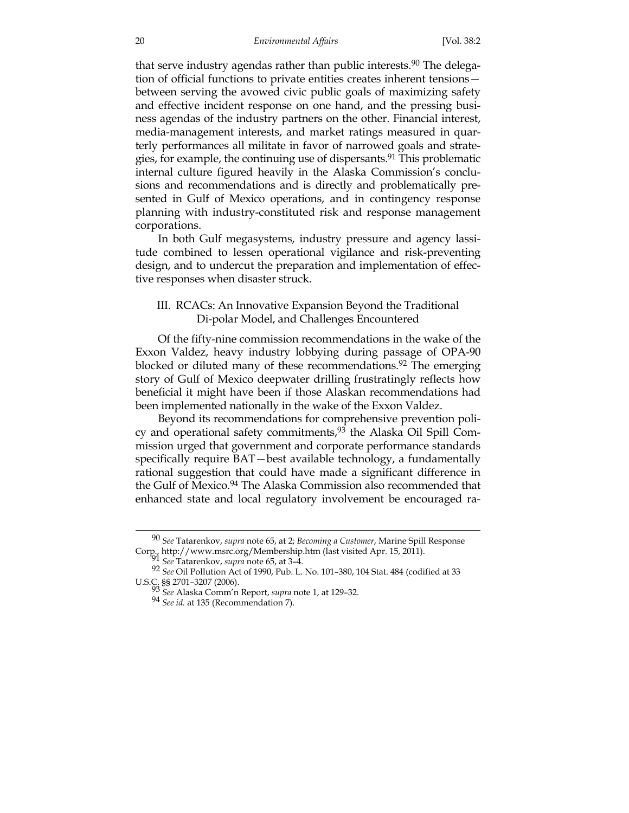that serve industry agendas rather than public interests.<sup>90</sup> The delegation of official functions to private entities creates inherent tensions between serving the avowed civic public goals of maximizing safety and effective incident response on one hand, and the pressing business agendas of the industry partners on the other. Financial interest, media-management interests, and market ratings measured in quarterly performances all militate in favor of narrowed goals and strategies, for example, the continuing use of dispersants.<sup>91</sup> This problematic internal culture figured heavily in the Alaska Commission's conclusions and recommendations and is directly and problematically presented in Gulf of Mexico operations, and in contingency response planning with industry-constituted risk and response management corporations.

 In both Gulf megasystems, industry pressure and agency lassitude combined to lessen operational vigilance and risk-preventing design, and to undercut the preparation and implementation of effective responses when disaster struck.

## III. RCACs: An Innovative Expansion Beyond the Traditional Di-polar Model, and Challenges Encountered

 Of the fifty-nine commission recommendations in the wake of the Exxon Valdez, heavy industry lobbying during passage of OPA-90 blocked or diluted many of these recommendations.<sup>92</sup> The emerging story of Gulf of Mexico deepwater drilling frustratingly reflects how beneficial it might have been if those Alaskan recommendations had been implemented nationally in the wake of the Exxon Valdez.

 Beyond its recommendations for comprehensive prevention policy and operational safety commitments,<sup>93</sup> the Alaska Oil Spill Commission urged that government and corporate performance standards specifically require BAT—best available technology, a fundamentally rational suggestion that could have made a significant difference in the Gulf of Mexico.<sup>94</sup> The Alaska Commission also recommended that enhanced state and local regulatory involvement be encouraged ra-

 <sup>90</sup> *See* Tatarenkov, *supra* note 65, at 2; *Becoming a Customer*, Marine Spill Response Corp., http://www.msrc.org/Membership.htm (last visited Apr. 15, 2011). 91 *See* Tatarenkov, *supra* note 65, at 3–4.

<sup>92</sup> *See* Oil Pollution Act of 1990, Pub. L. No. 101–380, 104 Stat. 484 (codified at 33 U.S.C. §§ 2701–3207 (2006). 93 *See* Alaska Comm'n Report, *supra* note 1, at 129–32.

<sup>94</sup> *See id.* at 135 (Recommendation 7).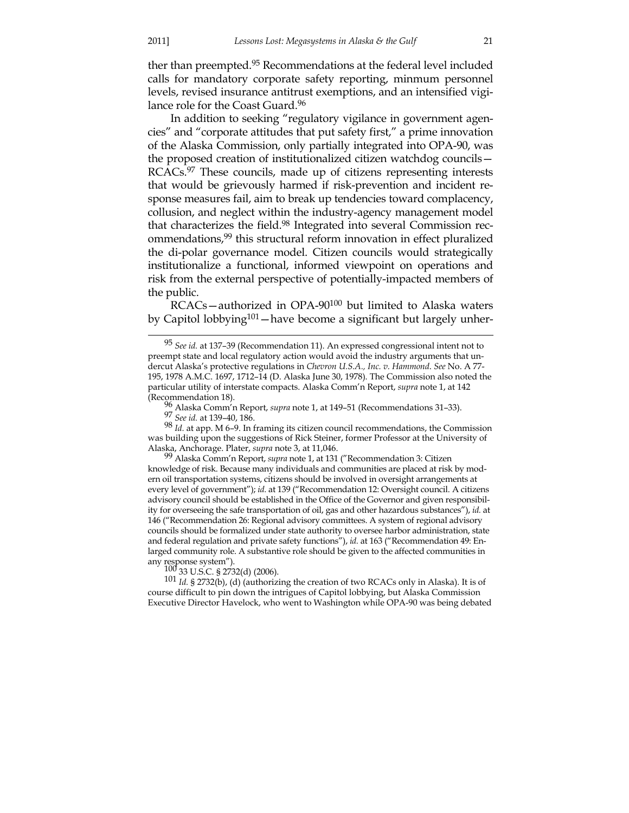ther than preempted.95 Recommendations at the federal level included calls for mandatory corporate safety reporting, minmum personnel levels, revised insurance antitrust exemptions, and an intensified vigilance role for the Coast Guard.96

 In addition to seeking "regulatory vigilance in government agencies" and "corporate attitudes that put safety first," a prime innovation of the Alaska Commission, only partially integrated into OPA-90, was the proposed creation of institutionalized citizen watchdog councils— RCACs.97 These councils, made up of citizens representing interests that would be grievously harmed if risk-prevention and incident response measures fail, aim to break up tendencies toward complacency, collusion, and neglect within the industry-agency management model that characterizes the field.98 Integrated into several Commission recommendations,99 this structural reform innovation in effect pluralized the di-polar governance model. Citizen councils would strategically institutionalize a functional, informed viewpoint on operations and risk from the external perspective of potentially-impacted members of the public.

 RCACs—authorized in OPA-90100 but limited to Alaska waters by Capitol lobbying<sup>101</sup> — have become a significant but largely unher-

98 *Id.* at app. M 6–9. In framing its citizen council recommendations, the Commission was building upon the suggestions of Rick Steiner, former Professor at the University of Alaska, Anchorage. Plater, *supra* note 3, at 11,046.

99 Alaska Comm'n Report, *supra* note 1, at 131 ("Recommendation 3: Citizen knowledge of risk. Because many individuals and communities are placed at risk by modern oil transportation systems, citizens should be involved in oversight arrangements at every level of government"); *id.* at 139 ("Recommendation 12: Oversight council. A citizens advisory council should be established in the Office of the Governor and given responsibility for overseeing the safe transportation of oil, gas and other hazardous substances"), *id.* at 146 ("Recommendation 26: Regional advisory committees. A system of regional advisory councils should be formalized under state authority to oversee harbor administration, state and federal regulation and private safety functions"), *id.* at 163 ("Recommendation 49: Enlarged community role. A substantive role should be given to the affected communities in<br>any response system").<br> $\frac{100}{33}$  U.S.C. § 2732(d) (2006).

101 Id. § 2732(b), (d) (authorizing the creation of two RCACs only in Alaska). It is of course difficult to pin down the intrigues of Capitol lobbying, but Alaska Commission Executive Director Havelock, who went to Washington while OPA-90 was being debated

 <sup>95</sup> *See id.* at 137–39 (Recommendation 11). An expressed congressional intent not to preempt state and local regulatory action would avoid the industry arguments that undercut Alaska's protective regulations in *Chevron U.S.A., Inc. v. Hammond*. *See* No. A 77- 195, 1978 A.M.C. 1697, 1712–14 (D. Alaska June 30, 1978). The Commission also noted the particular utility of interstate compacts. Alaska Comm'n Report, *supra* note 1, at 142

<sup>(</sup>Recommendation 18). 96 Alaska Comm'n Report, *supra* note 1, at 149–51 (Recommendations 31–33). 97 *See id.* at 139–40, 186.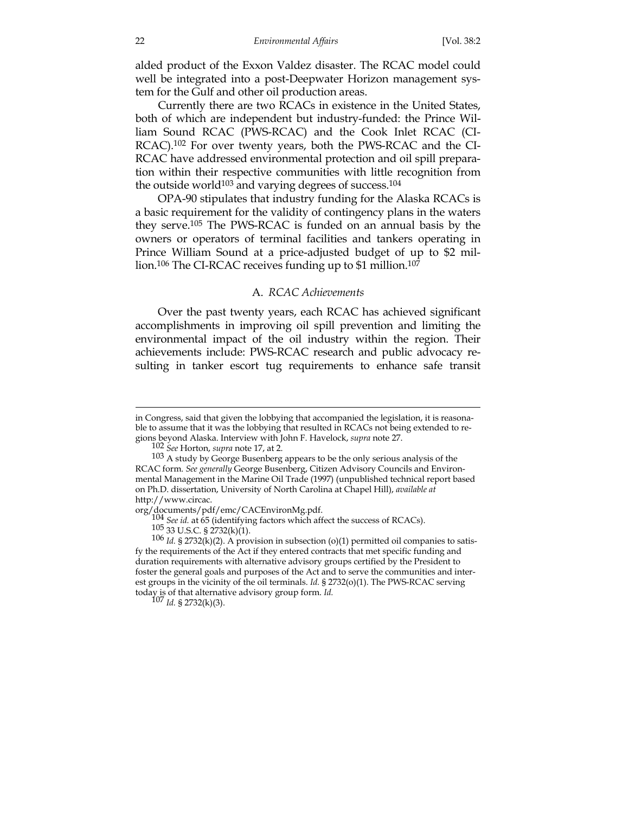alded product of the Exxon Valdez disaster. The RCAC model could well be integrated into a post-Deepwater Horizon management system for the Gulf and other oil production areas.

 Currently there are two RCACs in existence in the United States, both of which are independent but industry-funded: the Prince William Sound RCAC (PWS-RCAC) and the Cook Inlet RCAC (CI-RCAC).<sup>102</sup> For over twenty years, both the PWS-RCAC and the CI-RCAC have addressed environmental protection and oil spill preparation within their respective communities with little recognition from the outside world $103$  and varying degrees of success. $104$ 

 OPA-90 stipulates that industry funding for the Alaska RCACs is a basic requirement for the validity of contingency plans in the waters they serve.105 The PWS-RCAC is funded on an annual basis by the owners or operators of terminal facilities and tankers operating in Prince William Sound at a price-adjusted budget of up to \$2 million.<sup>106</sup> The CI-RCAC receives funding up to \$1 million.<sup>107</sup>

#### A. *RCAC Achievements*

 Over the past twenty years, each RCAC has achieved significant accomplishments in improving oil spill prevention and limiting the environmental impact of the oil industry within the region. Their achievements include: PWS-RCAC research and public advocacy resulting in tanker escort tug requirements to enhance safe transit

in Congress, said that given the lobbying that accompanied the legislation, it is reasonable to assume that it was the lobbying that resulted in RCACs not being extended to regions beyond Alaska. Interview with John F. Havelock, *supra* note 27.

<sup>102</sup> *See* Horton, *supra* note 17, at 2.

<sup>&</sup>lt;sup>103</sup> A study by George Busenberg appears to be the only serious analysis of the RCAC form. *See generally* George Busenberg, Citizen Advisory Councils and Environmental Management in the Marine Oil Trade (1997) (unpublished technical report based on Ph.D. dissertation, University of North Carolina at Chapel Hill), *available at* http://www.circac.

<sup>%</sup> org/documents/pdf/emc/CACEnvironMg.pdf.<br>  $104$  *See id.* at 65 (identifying factors which affect the success of RCACs).<br>  $105$  33 U.S.C. § 2732(k)(1).<br>  $106$  *Id.* § 2732(k)(2). A provision in subsection (o)(1) permitte fy the requirements of the Act if they entered contracts that met specific funding and duration requirements with alternative advisory groups certified by the President to foster the general goals and purposes of the Act and to serve the communities and interest groups in the vicinity of the oil terminals. *Id.* § 2732(o)(1). The PWS-RCAC serving today is of that alternative advisory group form. *Id.*  $10^7$  *Id.* § 2732(k)(3).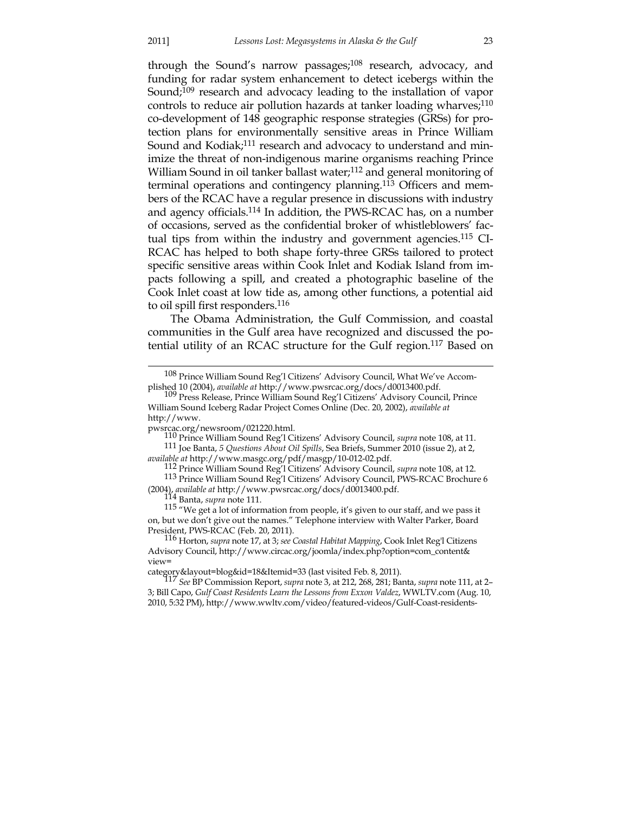through the Sound's narrow passages;<sup>108</sup> research, advocacy, and funding for radar system enhancement to detect icebergs within the Sound;<sup>109</sup> research and advocacy leading to the installation of vapor controls to reduce air pollution hazards at tanker loading wharves;<sup>110</sup> co-development of 148 geographic response strategies (GRSs) for protection plans for environmentally sensitive areas in Prince William Sound and Kodiak;<sup>111</sup> research and advocacy to understand and minimize the threat of non-indigenous marine organisms reaching Prince William Sound in oil tanker ballast water;<sup>112</sup> and general monitoring of terminal operations and contingency planning.113 Officers and members of the RCAC have a regular presence in discussions with industry and agency officials.114 In addition, the PWS-RCAC has, on a number of occasions, served as the confidential broker of whistleblowers' factual tips from within the industry and government agencies.115 CI-RCAC has helped to both shape forty-three GRSs tailored to protect specific sensitive areas within Cook Inlet and Kodiak Island from impacts following a spill, and created a photographic baseline of the Cook Inlet coast at low tide as, among other functions, a potential aid to oil spill first responders.116

 The Obama Administration, the Gulf Commission, and coastal communities in the Gulf area have recognized and discussed the potential utility of an RCAC structure for the Gulf region.117 Based on

110 Prince William Sound Reg'l Citizens' Advisory Council, *supra* note 108, at 11.

111 Joe Banta, *5 Questions About Oil Spills*, Sea Briefs, Summer 2010 (issue 2), at 2,

<sup>112</sup> Prince William Sound Reg'l Citizens' Advisory Council, *supra* note 108, at 12. 113 Prince William Sound Reg'l Citizens' Advisory Council, PWS-RCAC Brochure 6 (2004), *available at* http://www.pwsrcac.org/docs/d0013400.pdf. 114 Banta, *supra* note 111.

115 "We get a lot of information from people, it's given to our staff, and we pass it on, but we don't give out the names." Telephone interview with Walter Parker, Board

<sup>&</sup>lt;sup>108</sup> Prince William Sound Reg'l Citizens' Advisory Council, What We've Accom-

plished 10 (2004), *available at* http://www.pwsrcac.org/docs/d0013400.pdf. 109 Press Release, Prince William Sound Reg'l Citizens' Advisory Council, Prince William Sound Iceberg Radar Project Comes Online (Dec. 20, 2002), *available at* http://www.<br>pwsrcac.org/newsroom/021220.html.

President, PWS-RCAC (Feb. 20, 2011). 116 Horton, *supra* note 17, at 3; *see Coastal Habitat Mapping*, Cook Inlet Reg'l Citizens Advisory Council, http://www.circac.org/joomla/index.php?option=com\_content& view=

category&layout=blog&id=18&Itemid=33 (last visited Feb. 8, 2011). 117 *See* BP Commission Report, *supra* note 3, at 212, 268, 281; Banta, *supra* note 111, at 2– 3; Bill Capo, *Gulf Coast Residents Learn the Lessons from Exxon Valdez*, WWLTV.com (Aug. 10, 2010, 5:32 PM), http://www.wwltv.com/video/featured-videos/Gulf-Coast-residents-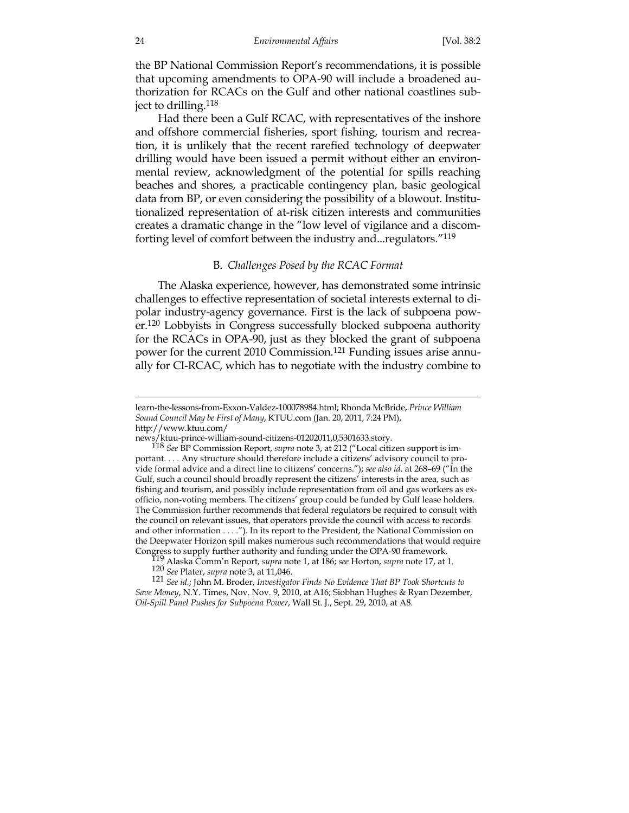the BP National Commission Report's recommendations, it is possible that upcoming amendments to OPA-90 will include a broadened authorization for RCACs on the Gulf and other national coastlines subject to drilling.118

 Had there been a Gulf RCAC, with representatives of the inshore and offshore commercial fisheries, sport fishing, tourism and recreation, it is unlikely that the recent rarefied technology of deepwater drilling would have been issued a permit without either an environmental review, acknowledgment of the potential for spills reaching beaches and shores, a practicable contingency plan, basic geological data from BP, or even considering the possibility of a blowout. Institutionalized representation of at-risk citizen interests and communities creates a dramatic change in the "low level of vigilance and a discomforting level of comfort between the industry and...regulators."119

#### B. *Challenges Posed by the RCAC Format*

 The Alaska experience, however, has demonstrated some intrinsic challenges to effective representation of societal interests external to dipolar industry-agency governance. First is the lack of subpoena power.120 Lobbyists in Congress successfully blocked subpoena authority for the RCACs in OPA-90, just as they blocked the grant of subpoena power for the current 2010 Commission.<sup>121</sup> Funding issues arise annually for CI-RCAC, which has to negotiate with the industry combine to

learn-the-lessons-from-Exxon-Valdez-100078984.html; Rhonda McBride, *Prince William Sound Council May be First of Many*, KTUU.com (Jan. 20, 2011, 7:24 PM), http://www.ktuu.com/

news/ktuu-prince-william-sound-citizens-01202011,0,5301633.story. 118 *See* BP Commission Report, *supra* note 3, at 212 ("Local citizen support is important. . . . Any structure should therefore include a citizens' advisory council to provide formal advice and a direct line to citizens' concerns."); *see also id.* at 268–69 ("In the Gulf, such a council should broadly represent the citizens' interests in the area, such as fishing and tourism, and possibly include representation from oil and gas workers as exofficio, non-voting members. The citizens' group could be funded by Gulf lease holders. The Commission further recommends that federal regulators be required to consult with the council on relevant issues, that operators provide the council with access to records and other information . . . ."). In its report to the President, the National Commission on the Deepwater Horizon spill makes numerous such recommendations that would require Congress to supply further authority and funding under the OPA-90 framework.

Congress to supply further authority and funding under the OPA-90 framework. 119 Alaska Comm'n Report, *supra* note 1, at 186; *see* Horton, *supra* note 17, at 1. 120 *See* Plater, *supra* note 3, at 11,046.

<sup>121</sup> *See id.*; John M. Broder, *Investigator Finds No Evidence That BP Took Shortcuts to Save Money*, N.Y. Times, Nov. Nov. 9, 2010, at A16; Siobhan Hughes & Ryan Dezember, *Oil-Spill Panel Pushes for Subpoena Power*, Wall St. J., Sept. 29, 2010, at A8.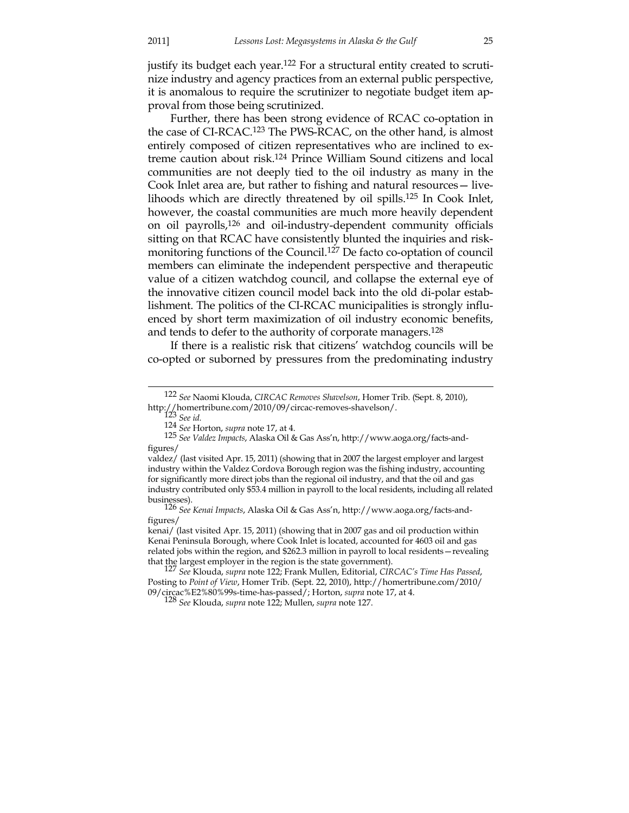justify its budget each year.<sup>122</sup> For a structural entity created to scrutinize industry and agency practices from an external public perspective, it is anomalous to require the scrutinizer to negotiate budget item approval from those being scrutinized.

 Further, there has been strong evidence of RCAC co-optation in the case of CI-RCAC.123 The PWS-RCAC, on the other hand, is almost entirely composed of citizen representatives who are inclined to extreme caution about risk.124 Prince William Sound citizens and local communities are not deeply tied to the oil industry as many in the Cook Inlet area are, but rather to fishing and natural resources— livelihoods which are directly threatened by oil spills.125 In Cook Inlet, however, the coastal communities are much more heavily dependent on oil payrolls,126 and oil-industry-dependent community officials sitting on that RCAC have consistently blunted the inquiries and riskmonitoring functions of the Council.127 De facto co-optation of council members can eliminate the independent perspective and therapeutic value of a citizen watchdog council, and collapse the external eye of the innovative citizen council model back into the old di-polar establishment. The politics of the CI-RCAC municipalities is strongly influenced by short term maximization of oil industry economic benefits, and tends to defer to the authority of corporate managers.<sup>128</sup>

 If there is a realistic risk that citizens' watchdog councils will be co-opted or suborned by pressures from the predominating industry

kenai/ (last visited Apr. 15, 2011) (showing that in 2007 gas and oil production within Kenai Peninsula Borough, where Cook Inlet is located, accounted for 4603 oil and gas related jobs within the region, and \$262.3 million in payroll to local residents—revealing that the largest employer in the region is the state government). 127 *See* Klouda, *supra* note 122; Frank Mullen, Editorial, *CIRCAC's Time Has Passed*,

 <sup>122</sup> *See* Naomi Klouda, *CIRCAC Removes Shavelson*, Homer Trib. (Sept. 8, 2010), http://homertribune.com/2010/09/circac-removes-shavelson/. 123 *See id.*

<sup>124</sup> *See* Horton, *supra* note 17, at 4.

<sup>125</sup> *See Valdez Impacts*, Alaska Oil & Gas Ass'n, http://www.aoga.org/facts-andfigures/

valdez/ (last visited Apr. 15, 2011) (showing that in 2007 the largest employer and largest industry within the Valdez Cordova Borough region was the fishing industry, accounting for significantly more direct jobs than the regional oil industry, and that the oil and gas industry contributed only \$53.4 million in payroll to the local residents, including all related

businesses). 126 *See Kenai Impacts*, Alaska Oil & Gas Ass'n, http://www.aoga.org/facts-andfigures/

Posting to *Point of View*, Homer Trib. (Sept. 22, 2010), http://homertribune.com/2010/ 09/circac%E2%80%99s-time-has-passed/; Horton, *supra* note 17, at 4.

<sup>128</sup> *See* Klouda, *supra* note 122; Mullen, *supra* note 127.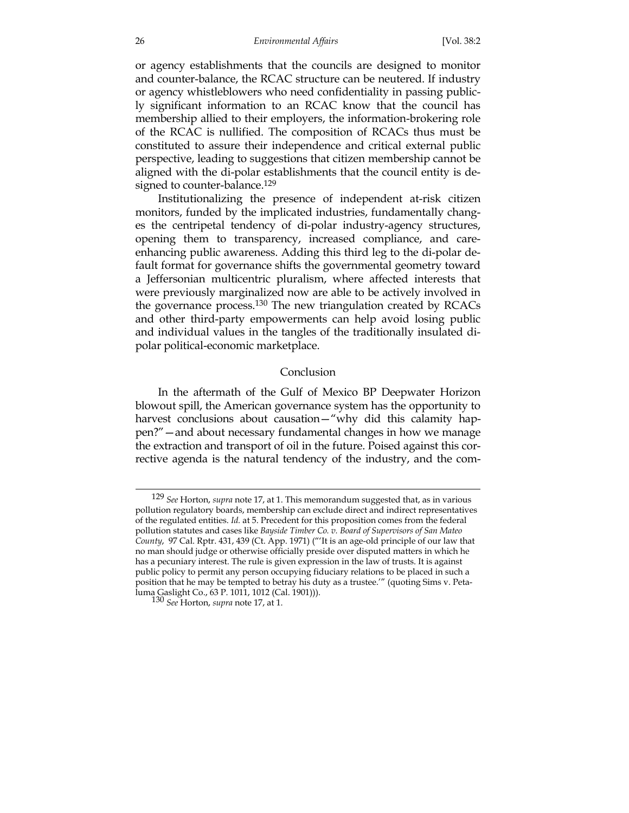or agency establishments that the councils are designed to monitor and counter-balance, the RCAC structure can be neutered. If industry or agency whistleblowers who need confidentiality in passing publicly significant information to an RCAC know that the council has membership allied to their employers, the information-brokering role of the RCAC is nullified. The composition of RCACs thus must be constituted to assure their independence and critical external public perspective, leading to suggestions that citizen membership cannot be aligned with the di-polar establishments that the council entity is designed to counter-balance.<sup>129</sup>

 Institutionalizing the presence of independent at-risk citizen monitors, funded by the implicated industries, fundamentally changes the centripetal tendency of di-polar industry-agency structures, opening them to transparency, increased compliance, and careenhancing public awareness. Adding this third leg to the di-polar default format for governance shifts the governmental geometry toward a Jeffersonian multicentric pluralism, where affected interests that were previously marginalized now are able to be actively involved in the governance process.130 The new triangulation created by RCACs and other third-party empowerments can help avoid losing public and individual values in the tangles of the traditionally insulated dipolar political-economic marketplace.

#### Conclusion

 In the aftermath of the Gulf of Mexico BP Deepwater Horizon blowout spill, the American governance system has the opportunity to harvest conclusions about causation—"why did this calamity happen?"—and about necessary fundamental changes in how we manage the extraction and transport of oil in the future. Poised against this corrective agenda is the natural tendency of the industry, and the com-

 <sup>129</sup> *See* Horton, *supra* note 17, at 1. This memorandum suggested that, as in various pollution regulatory boards, membership can exclude direct and indirect representatives of the regulated entities. *Id.* at 5. Precedent for this proposition comes from the federal pollution statutes and cases like *Bayside Timber Co. v. Board of Supervisors of San Mateo County*, 97 Cal. Rptr. 431, 439 (Ct. App. 1971) ("'It is an age-old principle of our law that no man should judge or otherwise officially preside over disputed matters in which he has a pecuniary interest. The rule is given expression in the law of trusts. It is against public policy to permit any person occupying fiduciary relations to be placed in such a position that he may be tempted to betray his duty as a trustee.'" (quoting Sims v. Petaluma Gaslight Co., 63 P. 1011, 1012 (Cal. 1901))). 130 *See* Horton, *supra* note 17, at 1.